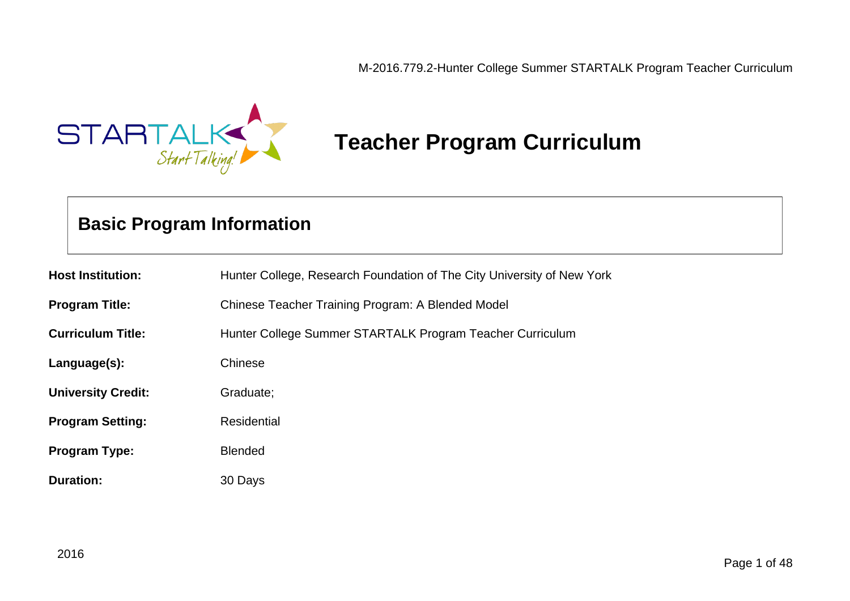

# **Teacher Program Curriculum**

# **Basic Program Information**

| <b>Host Institution:</b>  | Hunter College, Research Foundation of The City University of New York |
|---------------------------|------------------------------------------------------------------------|
| <b>Program Title:</b>     | Chinese Teacher Training Program: A Blended Model                      |
| <b>Curriculum Title:</b>  | Hunter College Summer STARTALK Program Teacher Curriculum              |
| Language(s):              | Chinese                                                                |
| <b>University Credit:</b> | Graduate;                                                              |
| <b>Program Setting:</b>   | Residential                                                            |
| <b>Program Type:</b>      | <b>Blended</b>                                                         |
| <b>Duration:</b>          | 30 Days                                                                |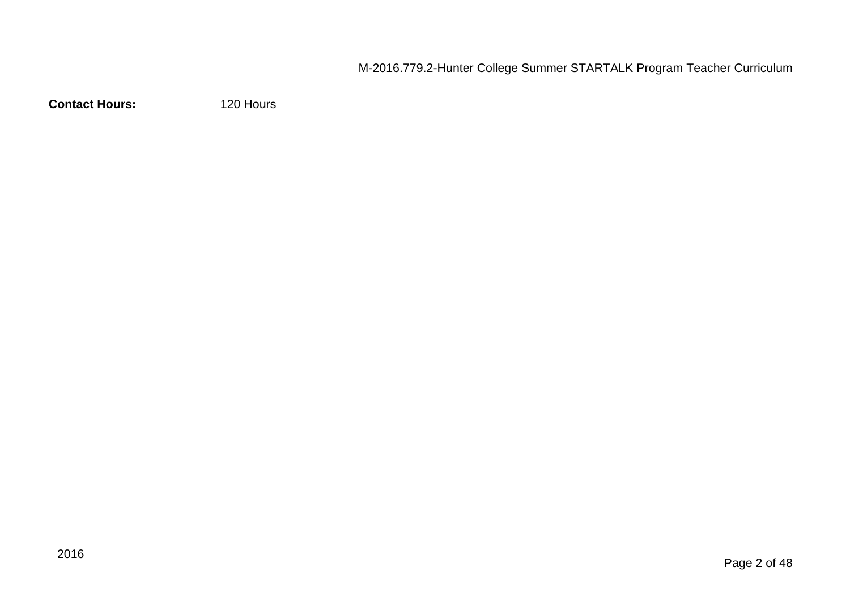**Contact Hours:** 120 Hours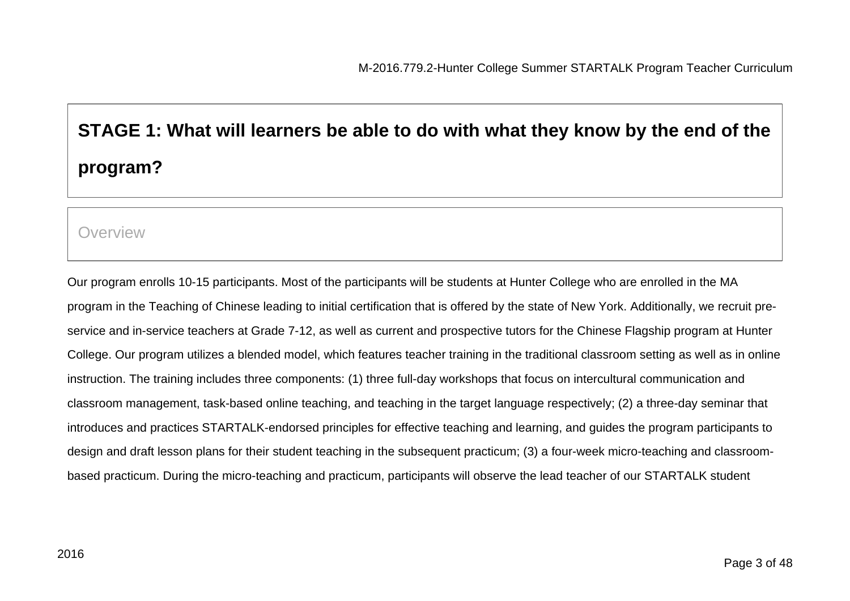# **STAGE 1: What will learners be able to do with what they know by the end of the program?**

#### **Overview**

Our program enrolls 10-15 participants. Most of the participants will be students at Hunter College who are enrolled in the MA program in the Teaching of Chinese leading to initial certification that is offered by the state of New York. Additionally, we recruit preservice and in-service teachers at Grade 7-12, as well as current and prospective tutors for the Chinese Flagship program at Hunter College. Our program utilizes a blended model, which features teacher training in the traditional classroom setting as well as in online instruction. The training includes three components: (1) three full-day workshops that focus on intercultural communication and classroom management, task-based online teaching, and teaching in the target language respectively; (2) a three-day seminar that introduces and practices STARTALK-endorsed principles for effective teaching and learning, and guides the program participants to design and draft lesson plans for their student teaching in the subsequent practicum; (3) a four-week micro-teaching and classroombased practicum. During the micro-teaching and practicum, participants will observe the lead teacher of our STARTALK student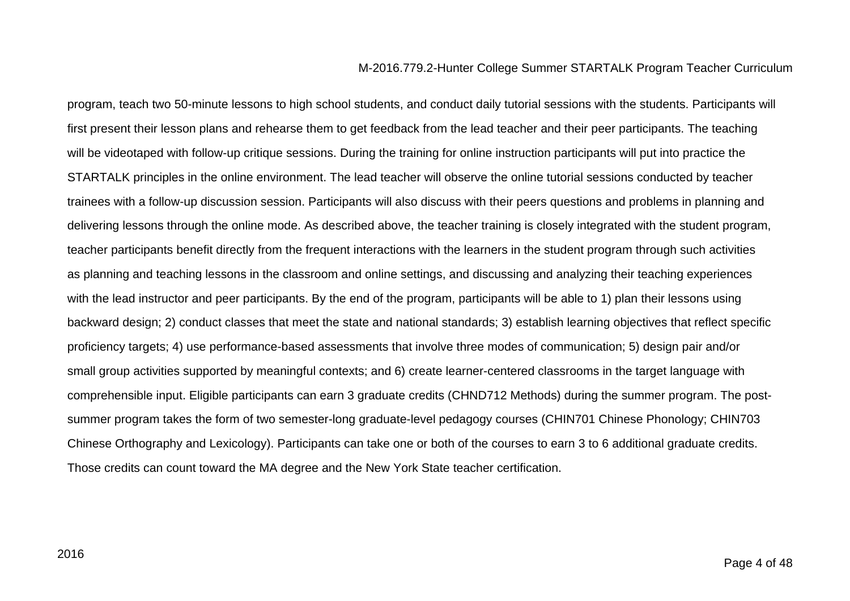program, teach two 50-minute lessons to high school students, and conduct daily tutorial sessions with the students. Participants will first present their lesson plans and rehearse them to get feedback from the lead teacher and their peer participants. The teaching will be videotaped with follow-up critique sessions. During the training for online instruction participants will put into practice the STARTALK principles in the online environment. The lead teacher will observe the online tutorial sessions conducted by teacher trainees with a follow-up discussion session. Participants will also discuss with their peers questions and problems in planning and delivering lessons through the online mode. As described above, the teacher training is closely integrated with the student program, teacher participants benefit directly from the frequent interactions with the learners in the student program through such activities as planning and teaching lessons in the classroom and online settings, and discussing and analyzing their teaching experiences with the lead instructor and peer participants. By the end of the program, participants will be able to 1) plan their lessons using backward design; 2) conduct classes that meet the state and national standards; 3) establish learning objectives that reflect specific proficiency targets; 4) use performance-based assessments that involve three modes of communication; 5) design pair and/or small group activities supported by meaningful contexts; and 6) create learner-centered classrooms in the target language with comprehensible input. Eligible participants can earn 3 graduate credits (CHND712 Methods) during the summer program. The postsummer program takes the form of two semester-long graduate-level pedagogy courses (CHIN701 Chinese Phonology; CHIN703 Chinese Orthography and Lexicology). Participants can take one or both of the courses to earn 3 to 6 additional graduate credits. Those credits can count toward the MA degree and the New York State teacher certification.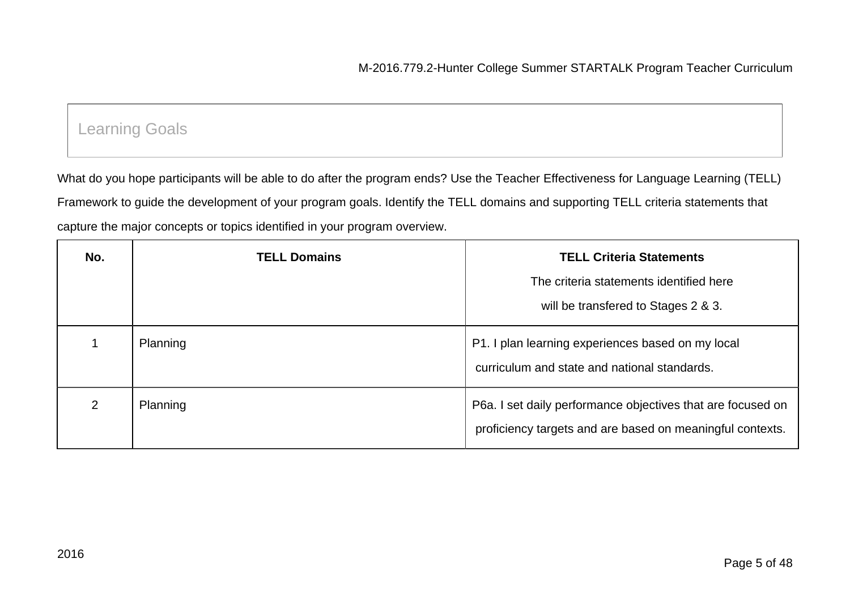# Learning Goals

What do you hope participants will be able to do after the program ends? Use the Teacher Effectiveness for Language Learning (TELL) Framework to guide the development of your program goals. Identify the TELL domains and supporting TELL criteria statements that capture the major concepts or topics identified in your program overview.

| No.            | <b>TELL Domains</b> | <b>TELL Criteria Statements</b>                                                                                          |
|----------------|---------------------|--------------------------------------------------------------------------------------------------------------------------|
|                |                     | The criteria statements identified here                                                                                  |
|                |                     | will be transfered to Stages 2 & 3.                                                                                      |
|                | Planning            | P1. I plan learning experiences based on my local<br>curriculum and state and national standards.                        |
| $\overline{2}$ | Planning            | P6a. I set daily performance objectives that are focused on<br>proficiency targets and are based on meaningful contexts. |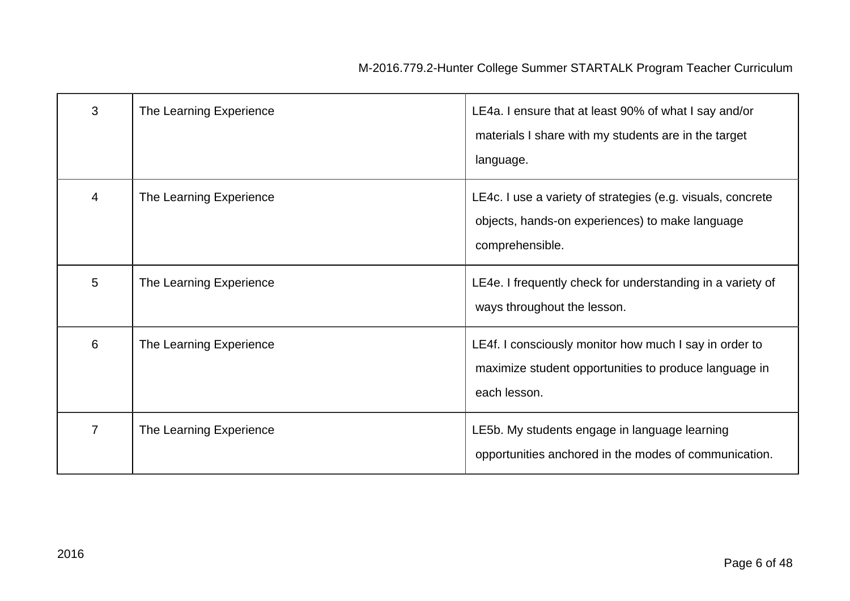| 3              | The Learning Experience | LE4a. I ensure that at least 90% of what I say and/or<br>materials I share with my students are in the target<br>language.        |
|----------------|-------------------------|-----------------------------------------------------------------------------------------------------------------------------------|
| 4              | The Learning Experience | LE4c. I use a variety of strategies (e.g. visuals, concrete<br>objects, hands-on experiences) to make language<br>comprehensible. |
| 5              | The Learning Experience | LE4e. I frequently check for understanding in a variety of<br>ways throughout the lesson.                                         |
| 6              | The Learning Experience | LE4f. I consciously monitor how much I say in order to<br>maximize student opportunities to produce language in<br>each lesson.   |
| $\overline{7}$ | The Learning Experience | LE5b. My students engage in language learning<br>opportunities anchored in the modes of communication.                            |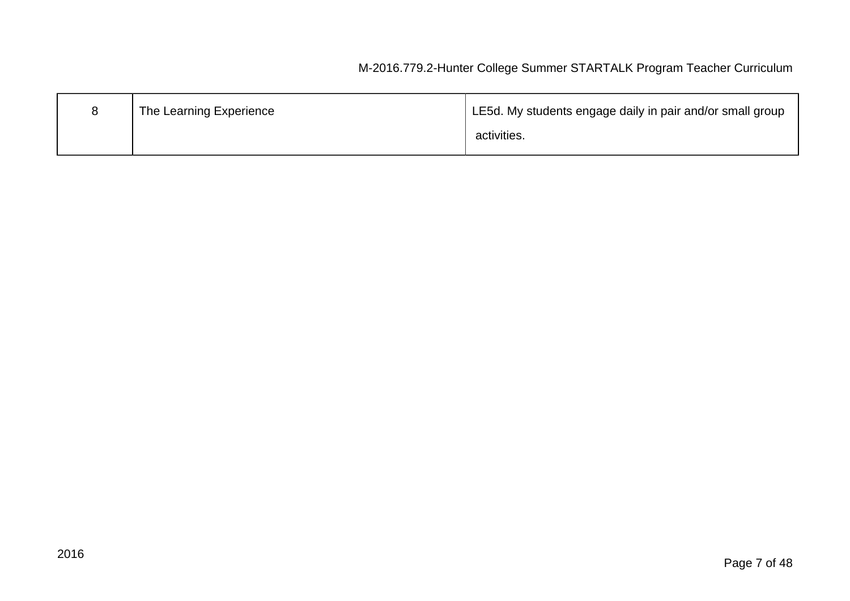| The Learning Experience | LE5d. My students engage daily in pair and/or small group |
|-------------------------|-----------------------------------------------------------|
|                         | activities.                                               |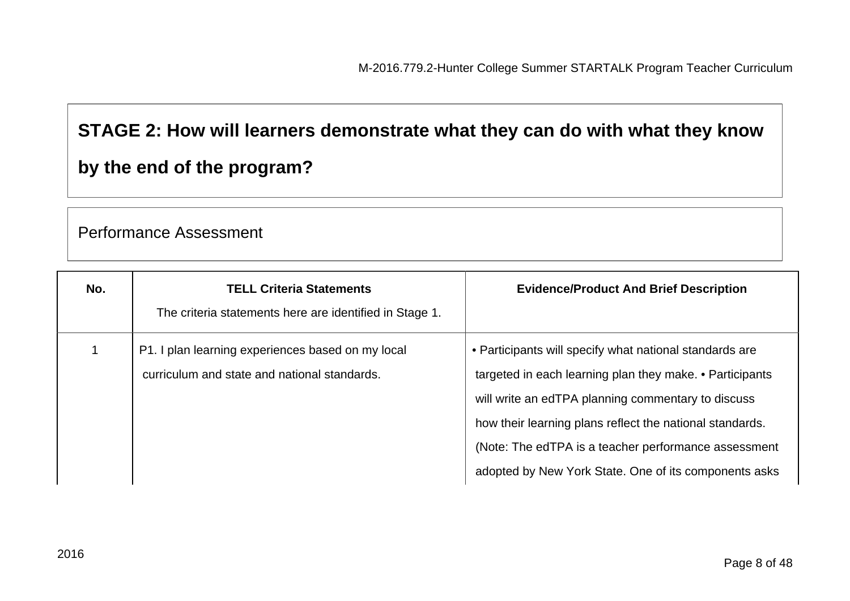# **STAGE 2: How will learners demonstrate what they can do with what they know**

# **by the end of the program?**

### Performance Assessment

| No. | <b>TELL Criteria Statements</b>                         | <b>Evidence/Product And Brief Description</b>            |
|-----|---------------------------------------------------------|----------------------------------------------------------|
|     | The criteria statements here are identified in Stage 1. |                                                          |
|     | P1. I plan learning experiences based on my local       | • Participants will specify what national standards are  |
|     | curriculum and state and national standards.            | targeted in each learning plan they make. • Participants |
|     |                                                         | will write an edTPA planning commentary to discuss       |
|     |                                                         | how their learning plans reflect the national standards. |
|     |                                                         | (Note: The edTPA is a teacher performance assessment     |
|     |                                                         | adopted by New York State. One of its components asks    |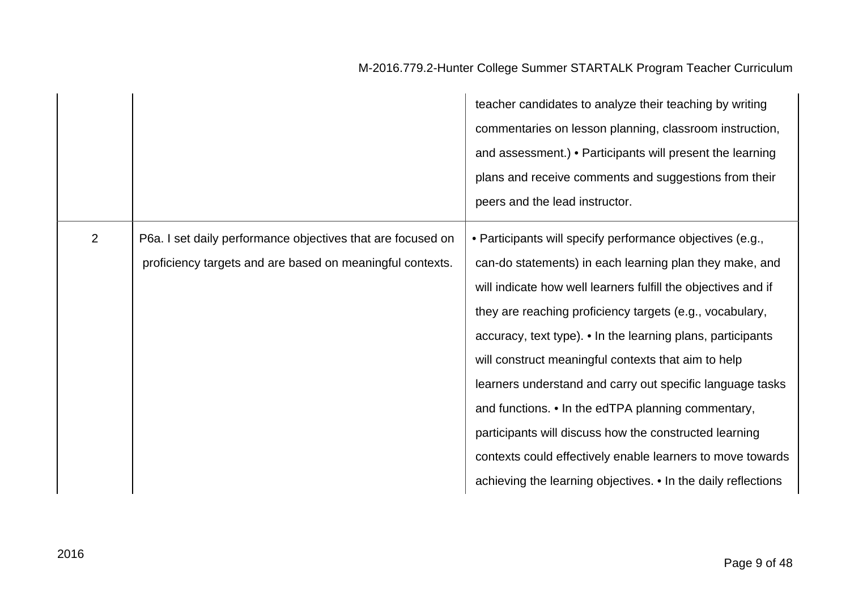|                |                                                                                                                          | teacher candidates to analyze their teaching by writing<br>commentaries on lesson planning, classroom instruction,<br>and assessment.) • Participants will present the learning<br>plans and receive comments and suggestions from their<br>peers and the lead instructor.                                                                                                                                                                                                                                                                                                                                                                                                          |
|----------------|--------------------------------------------------------------------------------------------------------------------------|-------------------------------------------------------------------------------------------------------------------------------------------------------------------------------------------------------------------------------------------------------------------------------------------------------------------------------------------------------------------------------------------------------------------------------------------------------------------------------------------------------------------------------------------------------------------------------------------------------------------------------------------------------------------------------------|
| $\overline{2}$ | P6a. I set daily performance objectives that are focused on<br>proficiency targets and are based on meaningful contexts. | • Participants will specify performance objectives (e.g.,<br>can-do statements) in each learning plan they make, and<br>will indicate how well learners fulfill the objectives and if<br>they are reaching proficiency targets (e.g., vocabulary,<br>accuracy, text type). • In the learning plans, participants<br>will construct meaningful contexts that aim to help<br>learners understand and carry out specific language tasks<br>and functions. • In the edTPA planning commentary,<br>participants will discuss how the constructed learning<br>contexts could effectively enable learners to move towards<br>achieving the learning objectives. • In the daily reflections |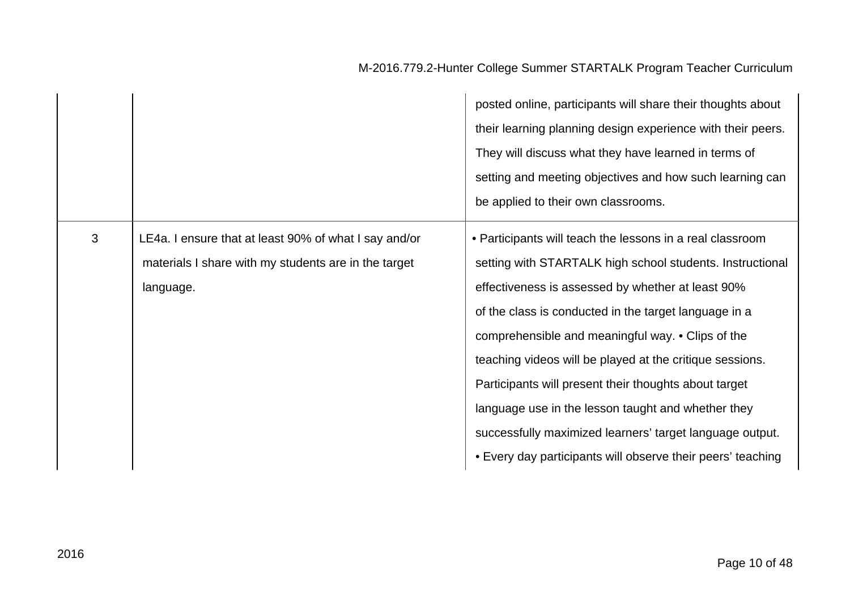|   |                                                                                                                            | posted online, participants will share their thoughts about<br>their learning planning design experience with their peers.<br>They will discuss what they have learned in terms of<br>setting and meeting objectives and how such learning can<br>be applied to their own classrooms.                                                                                                                                                                                                                                                                                                           |
|---|----------------------------------------------------------------------------------------------------------------------------|-------------------------------------------------------------------------------------------------------------------------------------------------------------------------------------------------------------------------------------------------------------------------------------------------------------------------------------------------------------------------------------------------------------------------------------------------------------------------------------------------------------------------------------------------------------------------------------------------|
| 3 | LE4a. I ensure that at least 90% of what I say and/or<br>materials I share with my students are in the target<br>language. | • Participants will teach the lessons in a real classroom<br>setting with STARTALK high school students. Instructional<br>effectiveness is assessed by whether at least 90%<br>of the class is conducted in the target language in a<br>comprehensible and meaningful way. • Clips of the<br>teaching videos will be played at the critique sessions.<br>Participants will present their thoughts about target<br>language use in the lesson taught and whether they<br>successfully maximized learners' target language output.<br>• Every day participants will observe their peers' teaching |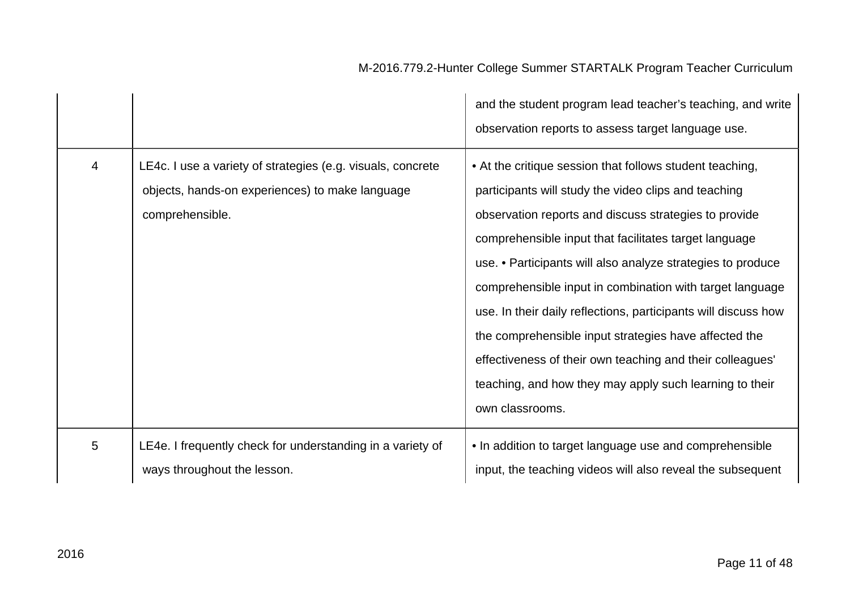|                |                                                                                                                                   | and the student program lead teacher's teaching, and write<br>observation reports to assess target language use.                                                                                                                                                                                                                                                                                                                                                                                                                                                                                                                    |
|----------------|-----------------------------------------------------------------------------------------------------------------------------------|-------------------------------------------------------------------------------------------------------------------------------------------------------------------------------------------------------------------------------------------------------------------------------------------------------------------------------------------------------------------------------------------------------------------------------------------------------------------------------------------------------------------------------------------------------------------------------------------------------------------------------------|
| $\overline{4}$ | LE4c. I use a variety of strategies (e.g. visuals, concrete<br>objects, hands-on experiences) to make language<br>comprehensible. | • At the critique session that follows student teaching,<br>participants will study the video clips and teaching<br>observation reports and discuss strategies to provide<br>comprehensible input that facilitates target language<br>use. • Participants will also analyze strategies to produce<br>comprehensible input in combination with target language<br>use. In their daily reflections, participants will discuss how<br>the comprehensible input strategies have affected the<br>effectiveness of their own teaching and their colleagues'<br>teaching, and how they may apply such learning to their<br>own classrooms. |
| 5              | LE4e. I frequently check for understanding in a variety of<br>ways throughout the lesson.                                         | • In addition to target language use and comprehensible<br>input, the teaching videos will also reveal the subsequent                                                                                                                                                                                                                                                                                                                                                                                                                                                                                                               |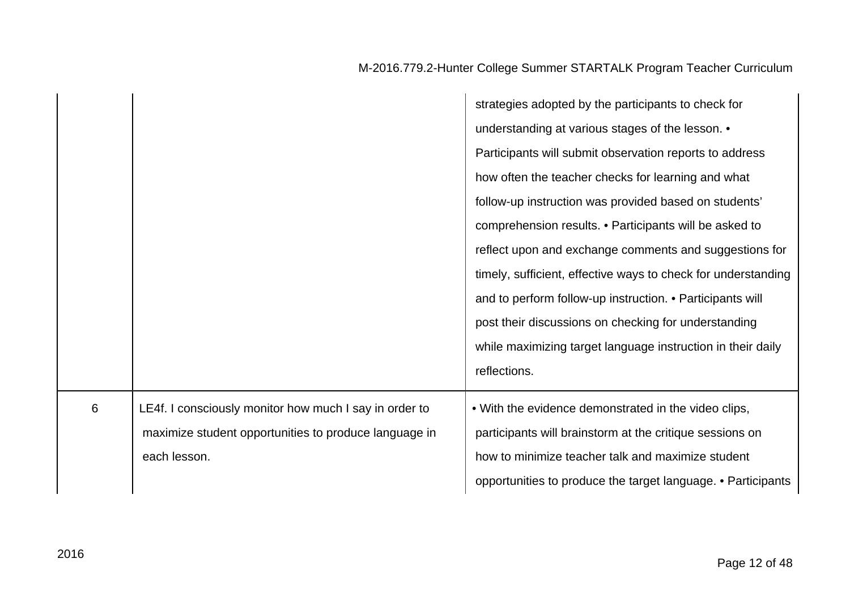|   |                                                        | strategies adopted by the participants to check for           |
|---|--------------------------------------------------------|---------------------------------------------------------------|
|   |                                                        | understanding at various stages of the lesson. •              |
|   |                                                        | Participants will submit observation reports to address       |
|   |                                                        | how often the teacher checks for learning and what            |
|   |                                                        | follow-up instruction was provided based on students'         |
|   |                                                        | comprehension results. • Participants will be asked to        |
|   |                                                        | reflect upon and exchange comments and suggestions for        |
|   |                                                        | timely, sufficient, effective ways to check for understanding |
|   |                                                        | and to perform follow-up instruction. • Participants will     |
|   |                                                        | post their discussions on checking for understanding          |
|   |                                                        | while maximizing target language instruction in their daily   |
|   |                                                        | reflections.                                                  |
| 6 | LE4f. I consciously monitor how much I say in order to | . With the evidence demonstrated in the video clips,          |
|   | maximize student opportunities to produce language in  | participants will brainstorm at the critique sessions on      |
|   | each lesson.                                           | how to minimize teacher talk and maximize student             |
|   |                                                        | opportunities to produce the target language. • Participants  |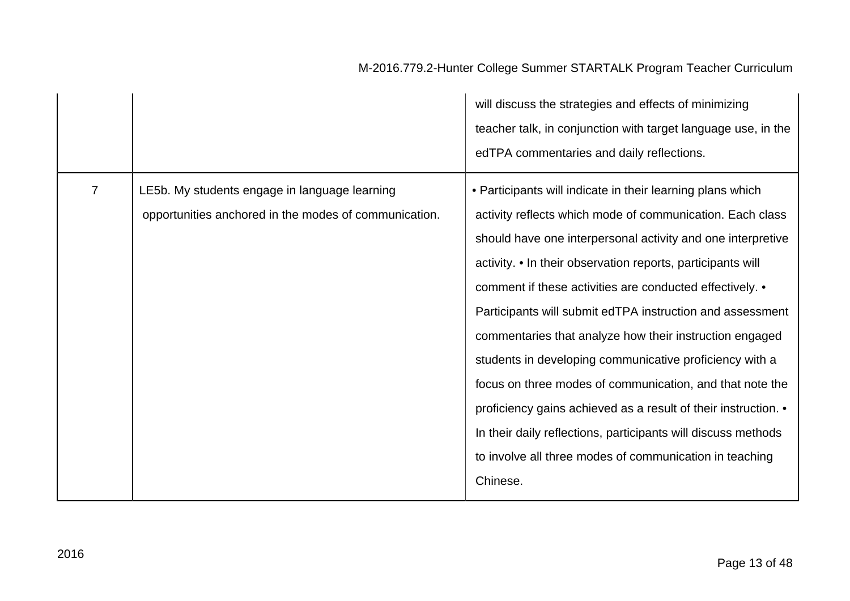|                |                                                                                                        | will discuss the strategies and effects of minimizing<br>teacher talk, in conjunction with target language use, in the<br>edTPA commentaries and daily reflections.                                                                                                                                                                                                                                                                                                                                                                                                                                                                                                                                                                                                        |
|----------------|--------------------------------------------------------------------------------------------------------|----------------------------------------------------------------------------------------------------------------------------------------------------------------------------------------------------------------------------------------------------------------------------------------------------------------------------------------------------------------------------------------------------------------------------------------------------------------------------------------------------------------------------------------------------------------------------------------------------------------------------------------------------------------------------------------------------------------------------------------------------------------------------|
| $\overline{7}$ | LE5b. My students engage in language learning<br>opportunities anchored in the modes of communication. | • Participants will indicate in their learning plans which<br>activity reflects which mode of communication. Each class<br>should have one interpersonal activity and one interpretive<br>activity. • In their observation reports, participants will<br>comment if these activities are conducted effectively. •<br>Participants will submit edTPA instruction and assessment<br>commentaries that analyze how their instruction engaged<br>students in developing communicative proficiency with a<br>focus on three modes of communication, and that note the<br>proficiency gains achieved as a result of their instruction. •<br>In their daily reflections, participants will discuss methods<br>to involve all three modes of communication in teaching<br>Chinese. |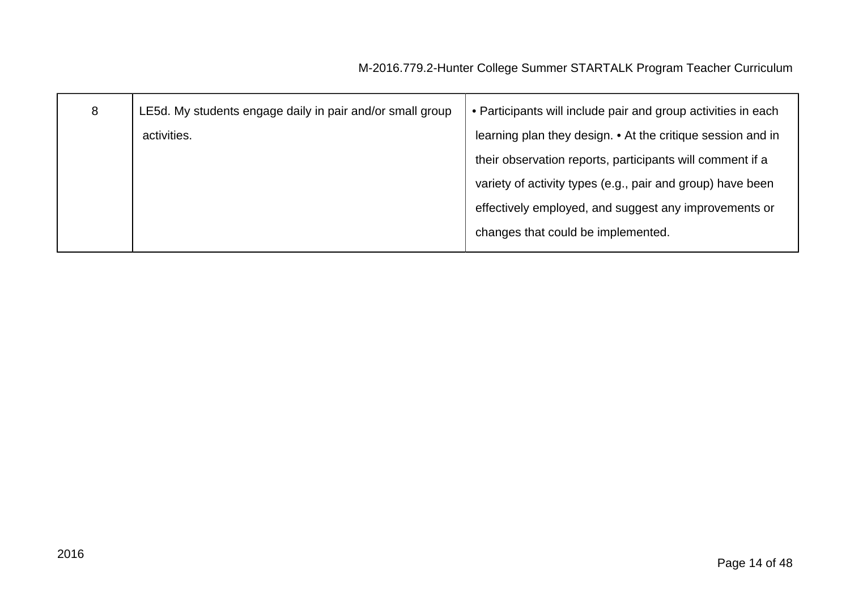| 8 | LE5d. My students engage daily in pair and/or small group | • Participants will include pair and group activities in each |
|---|-----------------------------------------------------------|---------------------------------------------------------------|
|   | activities.                                               | learning plan they design. • At the critique session and in   |
|   |                                                           | their observation reports, participants will comment if a     |
|   |                                                           | variety of activity types (e.g., pair and group) have been    |
|   |                                                           | effectively employed, and suggest any improvements or         |
|   |                                                           | changes that could be implemented.                            |
|   |                                                           |                                                               |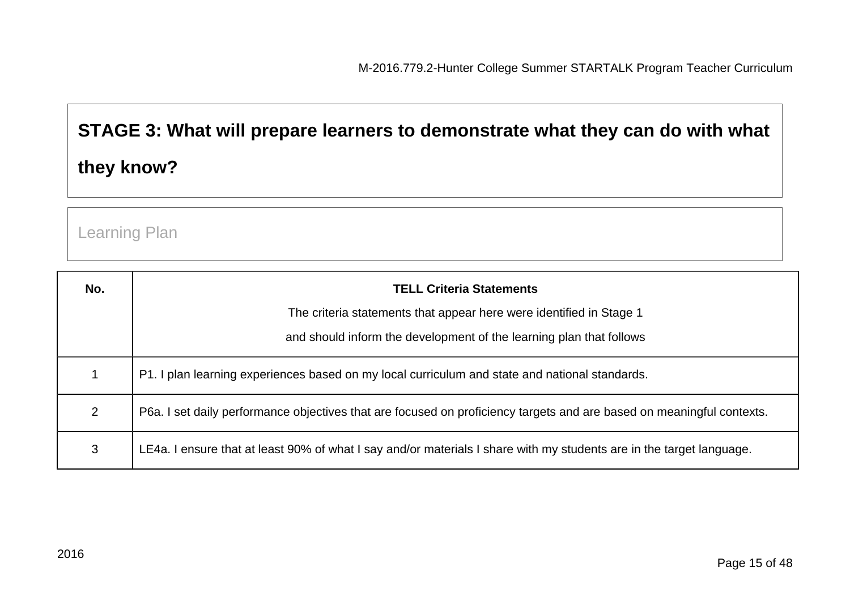# **STAGE 3: What will prepare learners to demonstrate what they can do with what they know?**

Learning Plan

| No. | <b>TELL Criteria Statements</b>                                                                                       |
|-----|-----------------------------------------------------------------------------------------------------------------------|
|     | The criteria statements that appear here were identified in Stage 1                                                   |
|     | and should inform the development of the learning plan that follows                                                   |
|     | P1. I plan learning experiences based on my local curriculum and state and national standards.                        |
| 2   | P6a. I set daily performance objectives that are focused on proficiency targets and are based on meaningful contexts. |
| 3   | LE4a. I ensure that at least 90% of what I say and/or materials I share with my students are in the target language.  |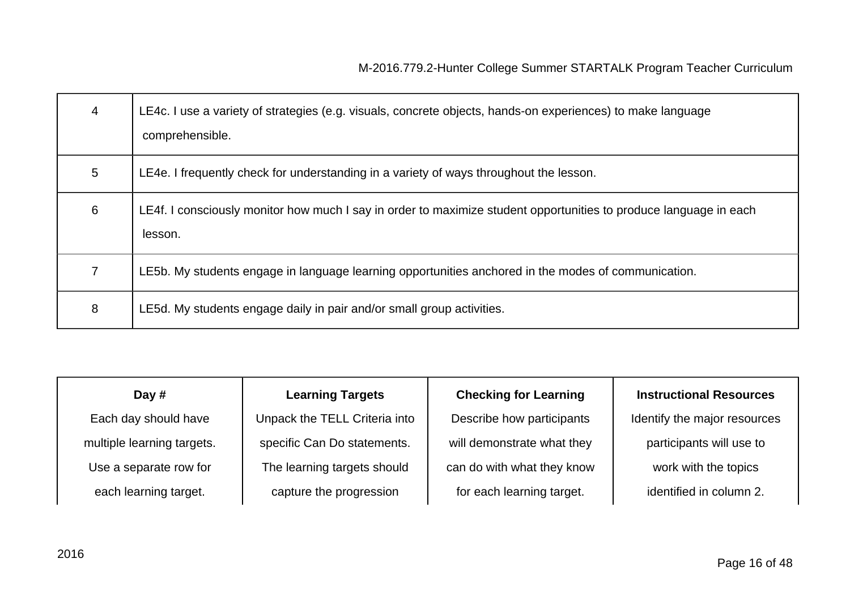| 4 | LE4c. I use a variety of strategies (e.g. visuals, concrete objects, hands-on experiences) to make language<br>comprehensible. |
|---|--------------------------------------------------------------------------------------------------------------------------------|
| 5 | LE4e. I frequently check for understanding in a variety of ways throughout the lesson.                                         |
| 6 | LE4f. I consciously monitor how much I say in order to maximize student opportunities to produce language in each<br>lesson.   |
|   | LE5b. My students engage in language learning opportunities anchored in the modes of communication.                            |
| 8 | LE5d. My students engage daily in pair and/or small group activities.                                                          |

| Day $#$                    | <b>Learning Targets</b>       | <b>Checking for Learning</b> | <b>Instructional Resources</b> |
|----------------------------|-------------------------------|------------------------------|--------------------------------|
| Each day should have       | Unpack the TELL Criteria into | Describe how participants    | Identify the major resources   |
| multiple learning targets. | specific Can Do statements.   | will demonstrate what they   | participants will use to       |
| Use a separate row for     | The learning targets should   | can do with what they know   | work with the topics           |
| each learning target.      | capture the progression       | for each learning target.    | identified in column 2.        |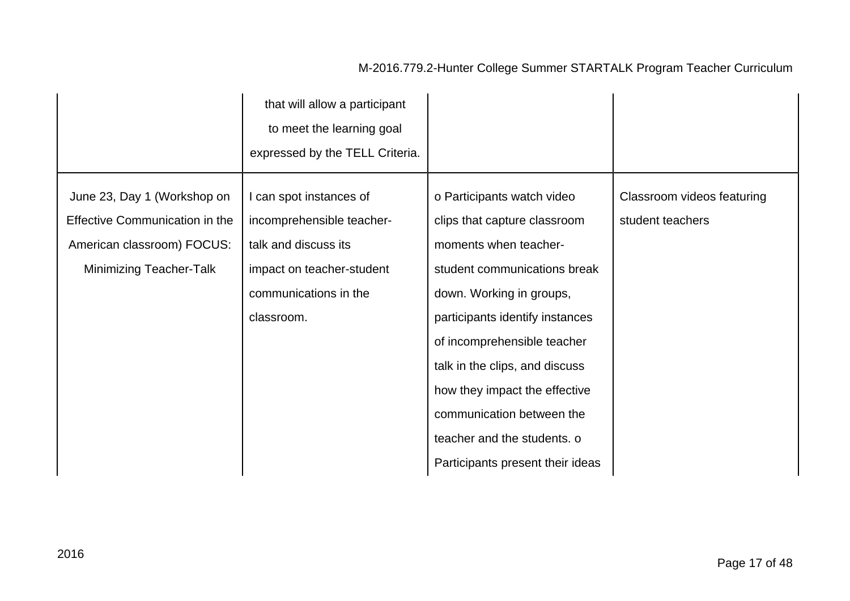|                                                                                                                               | that will allow a participant<br>to meet the learning goal<br>expressed by the TELL Criteria.                                                    |                                                                                                                                                                                                                                                                                                                                                                                      |                                                |
|-------------------------------------------------------------------------------------------------------------------------------|--------------------------------------------------------------------------------------------------------------------------------------------------|--------------------------------------------------------------------------------------------------------------------------------------------------------------------------------------------------------------------------------------------------------------------------------------------------------------------------------------------------------------------------------------|------------------------------------------------|
| June 23, Day 1 (Workshop on<br>Effective Communication in the<br>American classroom) FOCUS:<br><b>Minimizing Teacher-Talk</b> | I can spot instances of<br>incomprehensible teacher-<br>talk and discuss its<br>impact on teacher-student<br>communications in the<br>classroom. | o Participants watch video<br>clips that capture classroom<br>moments when teacher-<br>student communications break<br>down. Working in groups,<br>participants identify instances<br>of incomprehensible teacher<br>talk in the clips, and discuss<br>how they impact the effective<br>communication between the<br>teacher and the students. o<br>Participants present their ideas | Classroom videos featuring<br>student teachers |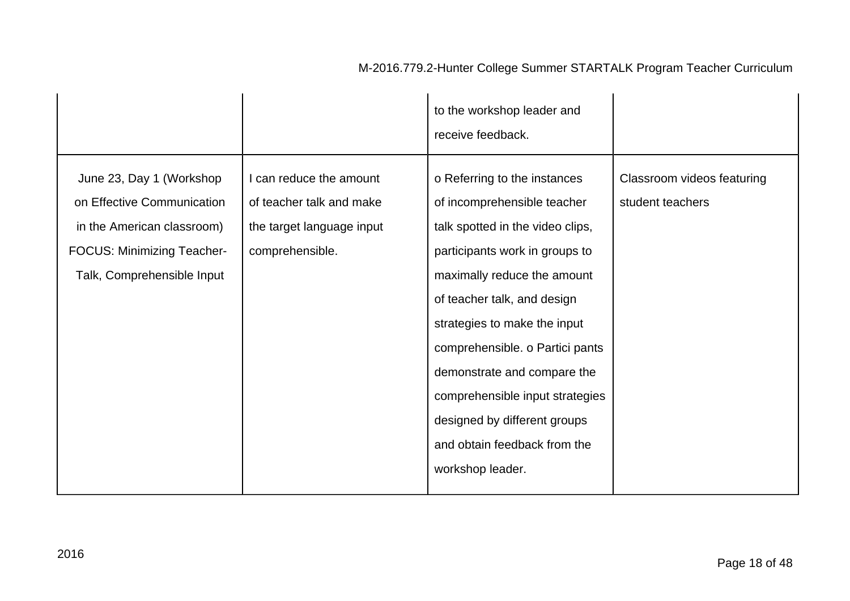|                                                                                                                                                         |                                                                                                     | to the workshop leader and<br>receive feedback.                                                                                                                                                                                                                                                                                                                                                                          |                                                |
|---------------------------------------------------------------------------------------------------------------------------------------------------------|-----------------------------------------------------------------------------------------------------|--------------------------------------------------------------------------------------------------------------------------------------------------------------------------------------------------------------------------------------------------------------------------------------------------------------------------------------------------------------------------------------------------------------------------|------------------------------------------------|
| June 23, Day 1 (Workshop<br>on Effective Communication<br>in the American classroom)<br><b>FOCUS: Minimizing Teacher-</b><br>Talk, Comprehensible Input | I can reduce the amount<br>of teacher talk and make<br>the target language input<br>comprehensible. | o Referring to the instances<br>of incomprehensible teacher<br>talk spotted in the video clips,<br>participants work in groups to<br>maximally reduce the amount<br>of teacher talk, and design<br>strategies to make the input<br>comprehensible. o Partici pants<br>demonstrate and compare the<br>comprehensible input strategies<br>designed by different groups<br>and obtain feedback from the<br>workshop leader. | Classroom videos featuring<br>student teachers |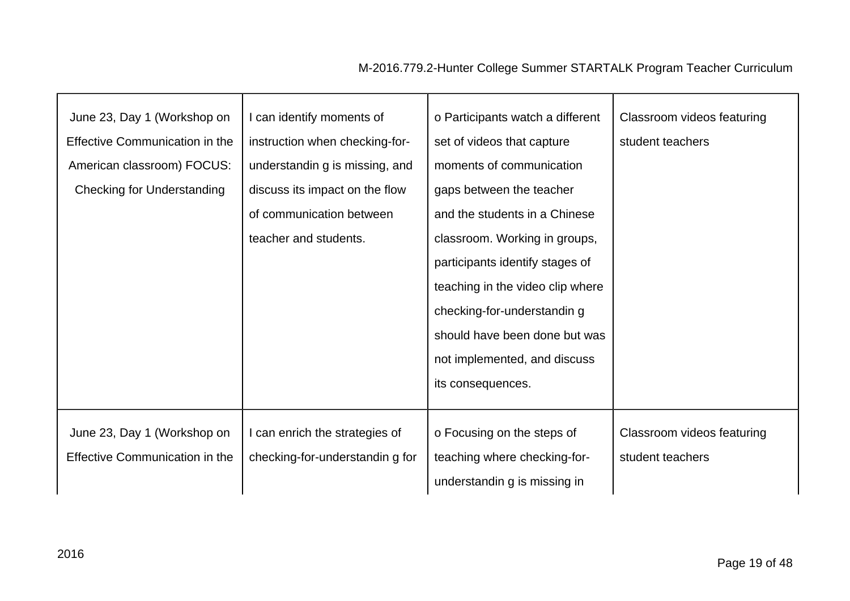| June 23, Day 1 (Workshop on           | I can identify moments of       | o Participants watch a different | Classroom videos featuring |
|---------------------------------------|---------------------------------|----------------------------------|----------------------------|
| <b>Effective Communication in the</b> | instruction when checking-for-  | set of videos that capture       | student teachers           |
| American classroom) FOCUS:            | understandin g is missing, and  | moments of communication         |                            |
| <b>Checking for Understanding</b>     | discuss its impact on the flow  | gaps between the teacher         |                            |
|                                       | of communication between        | and the students in a Chinese    |                            |
|                                       | teacher and students.           | classroom. Working in groups,    |                            |
|                                       |                                 | participants identify stages of  |                            |
|                                       |                                 | teaching in the video clip where |                            |
|                                       |                                 | checking-for-understandin g      |                            |
|                                       |                                 | should have been done but was    |                            |
|                                       |                                 | not implemented, and discuss     |                            |
|                                       |                                 | its consequences.                |                            |
|                                       |                                 |                                  |                            |
| June 23, Day 1 (Workshop on           | I can enrich the strategies of  | o Focusing on the steps of       | Classroom videos featuring |
| <b>Effective Communication in the</b> | checking-for-understandin g for | teaching where checking-for-     | student teachers           |
|                                       |                                 | understandin g is missing in     |                            |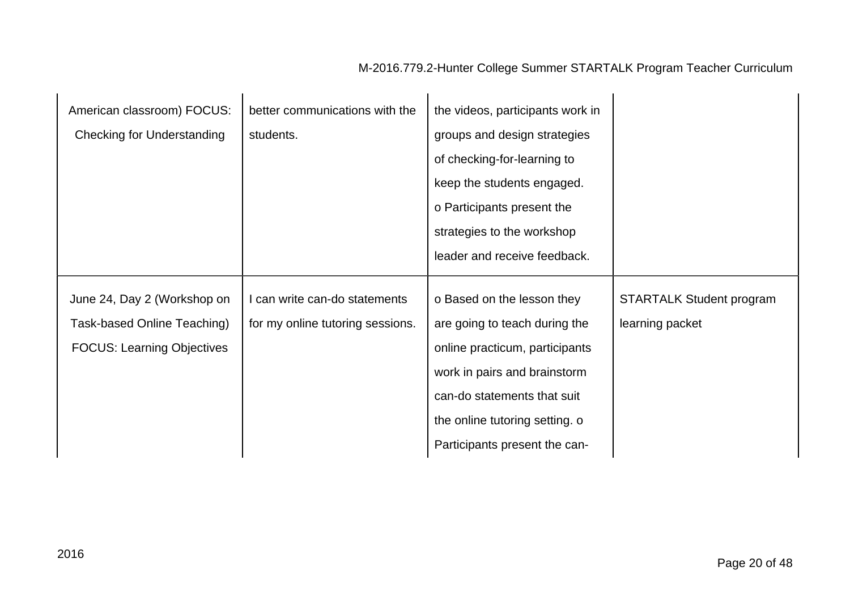| American classroom) FOCUS:        | better communications with the   | the videos, participants work in |                                 |
|-----------------------------------|----------------------------------|----------------------------------|---------------------------------|
| <b>Checking for Understanding</b> | students.                        | groups and design strategies     |                                 |
|                                   |                                  | of checking-for-learning to      |                                 |
|                                   |                                  | keep the students engaged.       |                                 |
|                                   |                                  | o Participants present the       |                                 |
|                                   |                                  | strategies to the workshop       |                                 |
|                                   |                                  | leader and receive feedback.     |                                 |
|                                   |                                  |                                  |                                 |
| June 24, Day 2 (Workshop on       | I can write can-do statements    | o Based on the lesson they       | <b>STARTALK Student program</b> |
| Task-based Online Teaching)       | for my online tutoring sessions. | are going to teach during the    | learning packet                 |
| <b>FOCUS: Learning Objectives</b> |                                  | online practicum, participants   |                                 |
|                                   |                                  | work in pairs and brainstorm     |                                 |
|                                   |                                  | can-do statements that suit      |                                 |
|                                   |                                  | the online tutoring setting. o   |                                 |
|                                   |                                  | Participants present the can-    |                                 |

 $\mathbf{r}$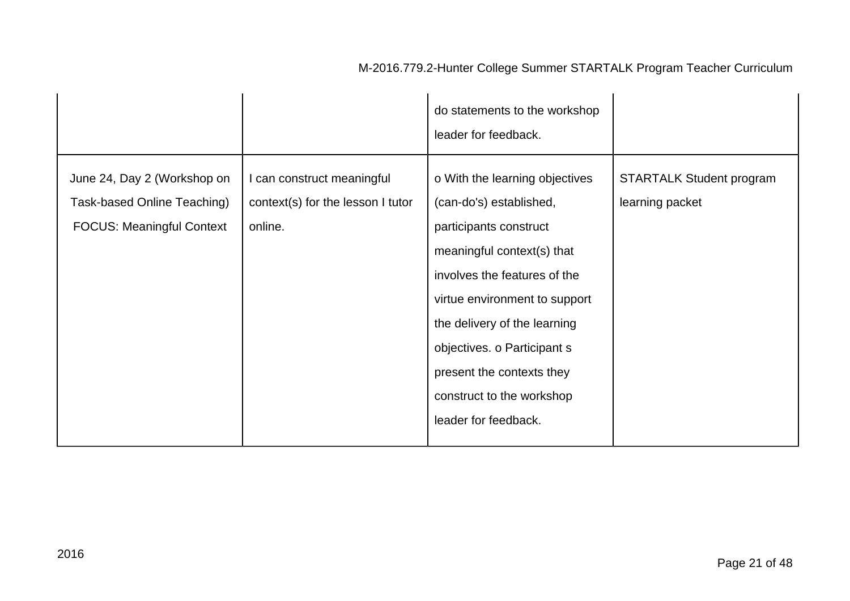|                                                                                                |                                                                            | do statements to the workshop<br>leader for feedback.                                                                                                                                                                                                                                                                               |                                                    |
|------------------------------------------------------------------------------------------------|----------------------------------------------------------------------------|-------------------------------------------------------------------------------------------------------------------------------------------------------------------------------------------------------------------------------------------------------------------------------------------------------------------------------------|----------------------------------------------------|
| June 24, Day 2 (Workshop on<br>Task-based Online Teaching)<br><b>FOCUS: Meaningful Context</b> | I can construct meaningful<br>context(s) for the lesson I tutor<br>online. | o With the learning objectives<br>(can-do's) established,<br>participants construct<br>meaningful context(s) that<br>involves the features of the<br>virtue environment to support<br>the delivery of the learning<br>objectives. o Participant s<br>present the contexts they<br>construct to the workshop<br>leader for feedback. | <b>STARTALK Student program</b><br>learning packet |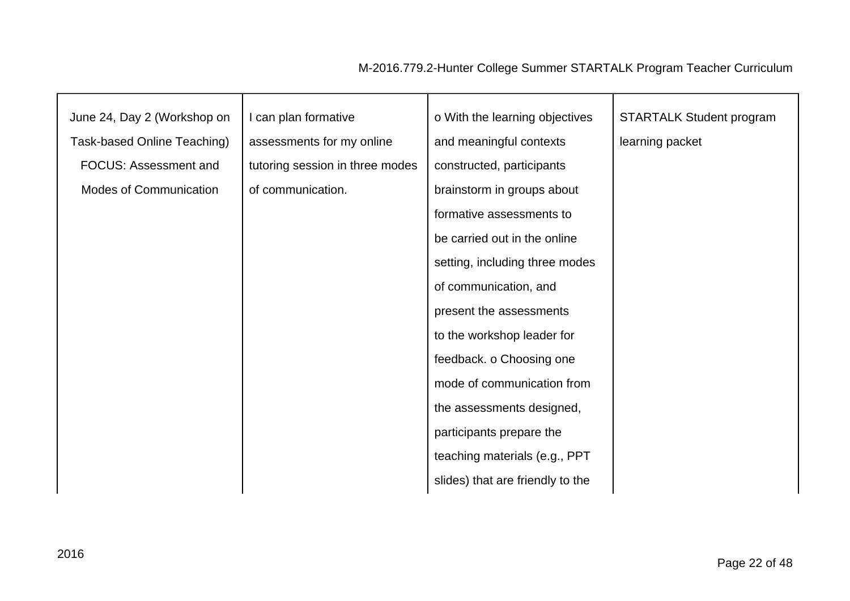| June 24, Day 2 (Workshop on   | I can plan formative            | o With the learning objectives   | <b>STARTALK Student program</b> |
|-------------------------------|---------------------------------|----------------------------------|---------------------------------|
| Task-based Online Teaching)   | assessments for my online       | and meaningful contexts          | learning packet                 |
| <b>FOCUS: Assessment and</b>  | tutoring session in three modes | constructed, participants        |                                 |
| <b>Modes of Communication</b> | of communication.               | brainstorm in groups about       |                                 |
|                               |                                 | formative assessments to         |                                 |
|                               |                                 | be carried out in the online     |                                 |
|                               |                                 | setting, including three modes   |                                 |
|                               |                                 | of communication, and            |                                 |
|                               |                                 | present the assessments          |                                 |
|                               |                                 | to the workshop leader for       |                                 |
|                               |                                 | feedback. o Choosing one         |                                 |
|                               |                                 | mode of communication from       |                                 |
|                               |                                 | the assessments designed,        |                                 |
|                               |                                 | participants prepare the         |                                 |
|                               |                                 | teaching materials (e.g., PPT    |                                 |
|                               |                                 | slides) that are friendly to the |                                 |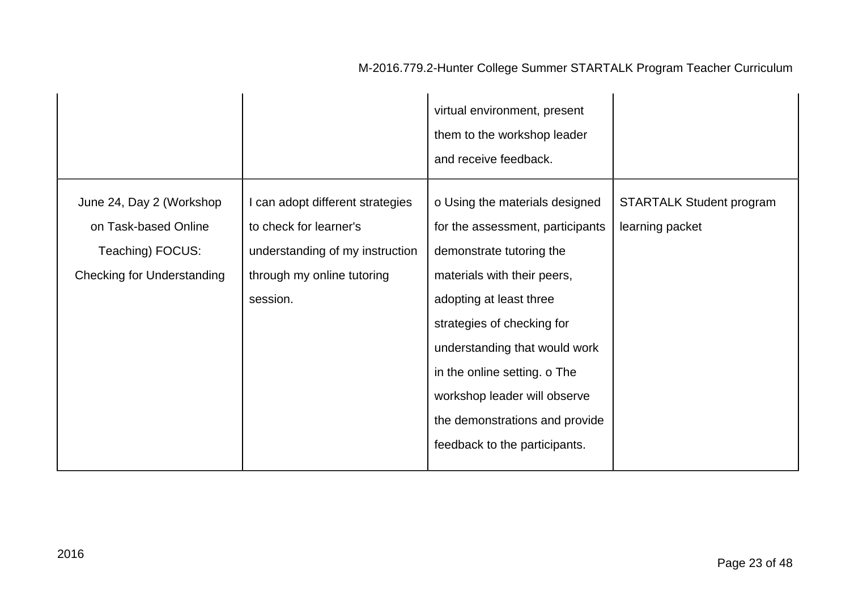|                                                                                                           |                                                                                                                                         | virtual environment, present<br>them to the workshop leader<br>and receive feedback.                                                                                                                                                                                                                                                                       |                                                    |
|-----------------------------------------------------------------------------------------------------------|-----------------------------------------------------------------------------------------------------------------------------------------|------------------------------------------------------------------------------------------------------------------------------------------------------------------------------------------------------------------------------------------------------------------------------------------------------------------------------------------------------------|----------------------------------------------------|
| June 24, Day 2 (Workshop<br>on Task-based Online<br>Teaching) FOCUS:<br><b>Checking for Understanding</b> | I can adopt different strategies<br>to check for learner's<br>understanding of my instruction<br>through my online tutoring<br>session. | o Using the materials designed<br>for the assessment, participants<br>demonstrate tutoring the<br>materials with their peers,<br>adopting at least three<br>strategies of checking for<br>understanding that would work<br>in the online setting. o The<br>workshop leader will observe<br>the demonstrations and provide<br>feedback to the participants. | <b>STARTALK Student program</b><br>learning packet |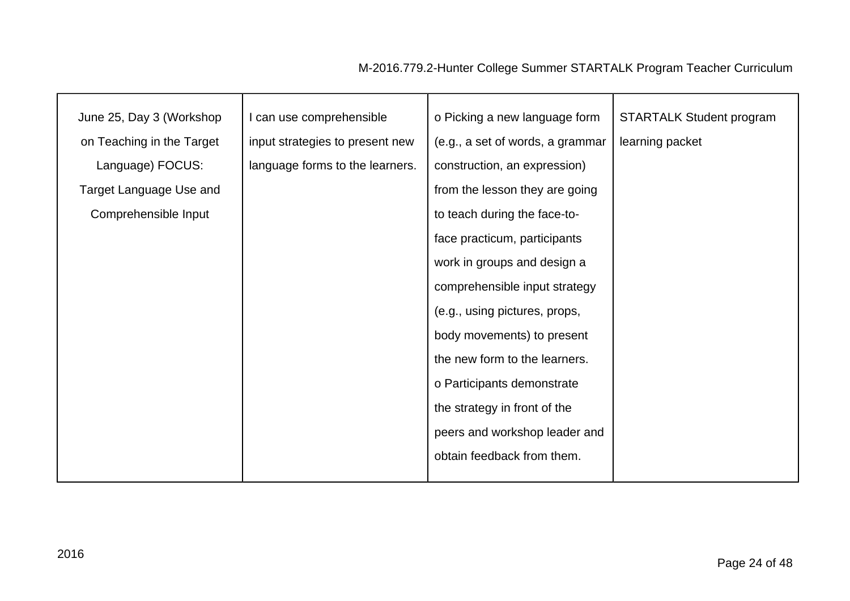| June 25, Day 3 (Workshop  | I can use comprehensible        | o Picking a new language form    | <b>STARTALK Student program</b> |
|---------------------------|---------------------------------|----------------------------------|---------------------------------|
| on Teaching in the Target | input strategies to present new | (e.g., a set of words, a grammar | learning packet                 |
| Language) FOCUS:          | language forms to the learners. | construction, an expression)     |                                 |
| Target Language Use and   |                                 | from the lesson they are going   |                                 |
| Comprehensible Input      |                                 | to teach during the face-to-     |                                 |
|                           |                                 | face practicum, participants     |                                 |
|                           |                                 | work in groups and design a      |                                 |
|                           |                                 | comprehensible input strategy    |                                 |
|                           |                                 | (e.g., using pictures, props,    |                                 |
|                           |                                 | body movements) to present       |                                 |
|                           |                                 | the new form to the learners.    |                                 |
|                           |                                 | o Participants demonstrate       |                                 |
|                           |                                 | the strategy in front of the     |                                 |
|                           |                                 | peers and workshop leader and    |                                 |
|                           |                                 | obtain feedback from them.       |                                 |
|                           |                                 |                                  |                                 |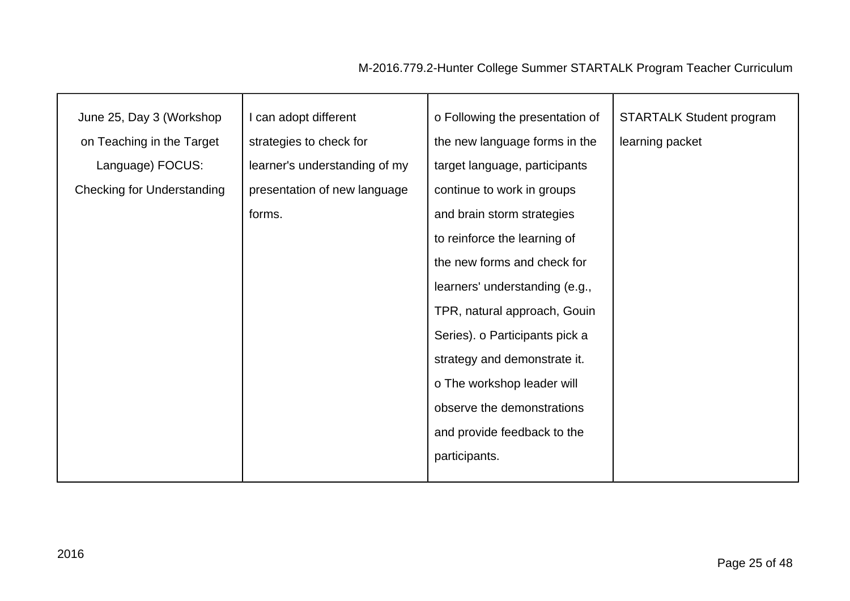| June 25, Day 3 (Workshop          | I can adopt different         | o Following the presentation of | <b>STARTALK Student program</b> |
|-----------------------------------|-------------------------------|---------------------------------|---------------------------------|
| on Teaching in the Target         | strategies to check for       | the new language forms in the   | learning packet                 |
| Language) FOCUS:                  | learner's understanding of my | target language, participants   |                                 |
| <b>Checking for Understanding</b> | presentation of new language  | continue to work in groups      |                                 |
|                                   |                               |                                 |                                 |
|                                   | forms.                        | and brain storm strategies      |                                 |
|                                   |                               | to reinforce the learning of    |                                 |
|                                   |                               | the new forms and check for     |                                 |
|                                   |                               | learners' understanding (e.g.,  |                                 |
|                                   |                               | TPR, natural approach, Gouin    |                                 |
|                                   |                               | Series). o Participants pick a  |                                 |
|                                   |                               | strategy and demonstrate it.    |                                 |
|                                   |                               | o The workshop leader will      |                                 |
|                                   |                               | observe the demonstrations      |                                 |
|                                   |                               | and provide feedback to the     |                                 |
|                                   |                               | participants.                   |                                 |
|                                   |                               |                                 |                                 |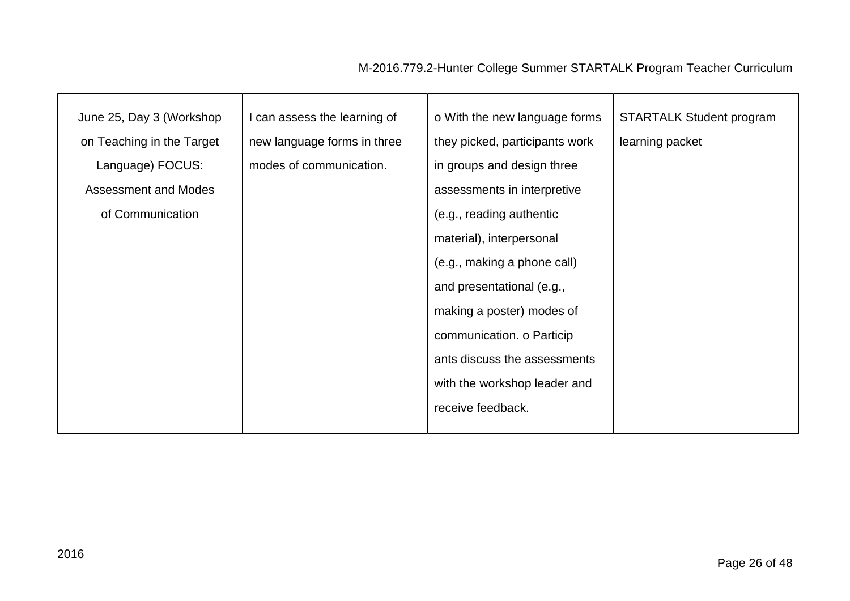| June 25, Day 3 (Workshop  | I can assess the learning of | o With the new language forms  | <b>STARTALK Student program</b> |
|---------------------------|------------------------------|--------------------------------|---------------------------------|
| on Teaching in the Target | new language forms in three  | they picked, participants work | learning packet                 |
| Language) FOCUS:          | modes of communication.      | in groups and design three     |                                 |
| Assessment and Modes      |                              | assessments in interpretive    |                                 |
| of Communication          |                              | (e.g., reading authentic       |                                 |
|                           |                              | material), interpersonal       |                                 |
|                           |                              | (e.g., making a phone call)    |                                 |
|                           |                              | and presentational (e.g.,      |                                 |
|                           |                              | making a poster) modes of      |                                 |
|                           |                              | communication. o Particip      |                                 |
|                           |                              | ants discuss the assessments   |                                 |
|                           |                              | with the workshop leader and   |                                 |
|                           |                              | receive feedback.              |                                 |
|                           |                              |                                |                                 |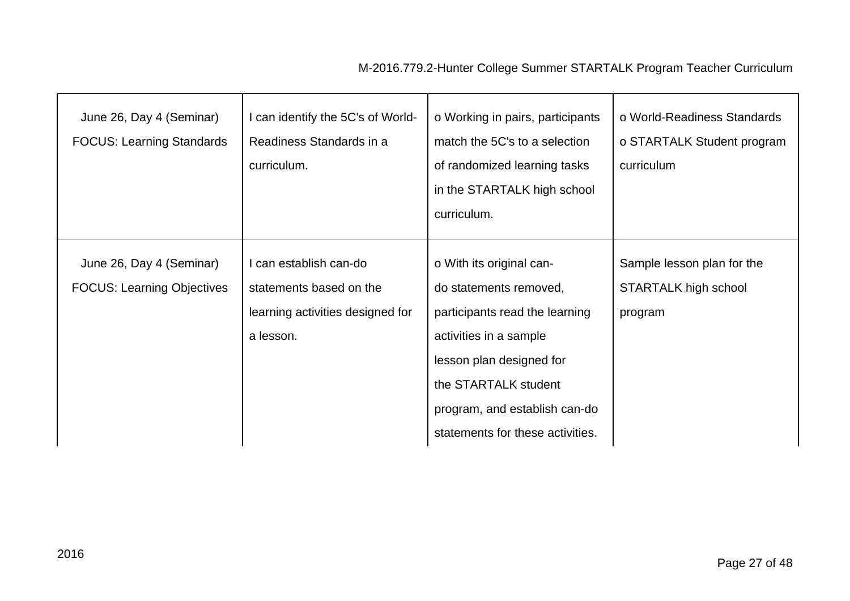| June 26, Day 4 (Seminar)<br><b>FOCUS: Learning Standards</b>  | I can identify the 5C's of World-<br>Readiness Standards in a<br>curriculum.                       | o Working in pairs, participants<br>match the 5C's to a selection<br>of randomized learning tasks<br>in the STARTALK high school<br>curriculum.                                                                                         | o World-Readiness Standards<br>o STARTALK Student program<br>curriculum |
|---------------------------------------------------------------|----------------------------------------------------------------------------------------------------|-----------------------------------------------------------------------------------------------------------------------------------------------------------------------------------------------------------------------------------------|-------------------------------------------------------------------------|
| June 26, Day 4 (Seminar)<br><b>FOCUS: Learning Objectives</b> | I can establish can-do<br>statements based on the<br>learning activities designed for<br>a lesson. | o With its original can-<br>do statements removed,<br>participants read the learning<br>activities in a sample<br>lesson plan designed for<br>the STARTALK student<br>program, and establish can-do<br>statements for these activities. | Sample lesson plan for the<br>STARTALK high school<br>program           |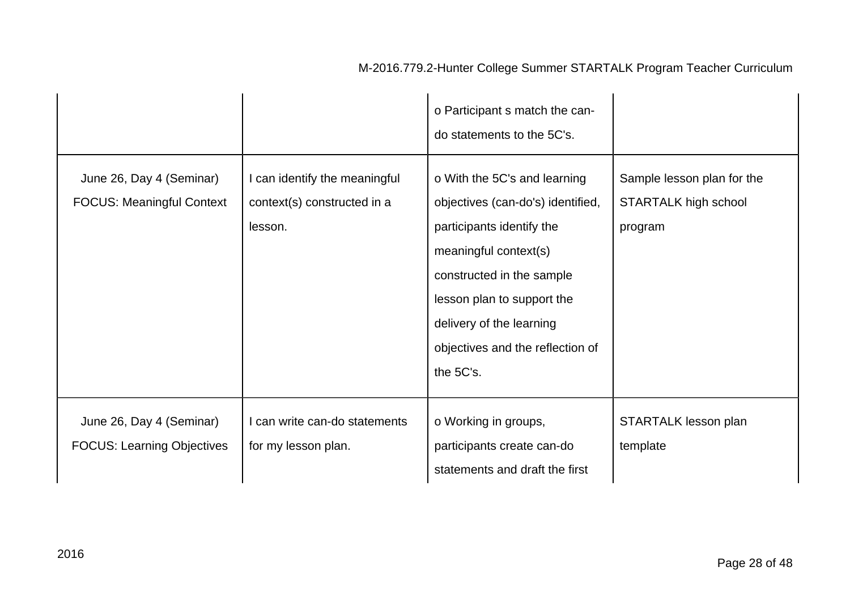#### o Participant s match the cando statements to the 5C's. June 26, Day 4 (Seminar) FOCUS: Meaningful Context I can identify the meaningful context(s) constructed in a lesson. o With the 5C's and learning objectives (can-do's) identified, participants identify the meaningful context(s) constructed in the sample lesson plan to support the delivery of the learning objectives and the reflection of the 5C's. Sample lesson plan for the STARTALK high school program June 26, Day 4 (Seminar) FOCUS: Learning Objectives I can write can-do statements for my lesson plan. o Working in groups, participants create can-do statements and draft the first STARTALK lesson plan template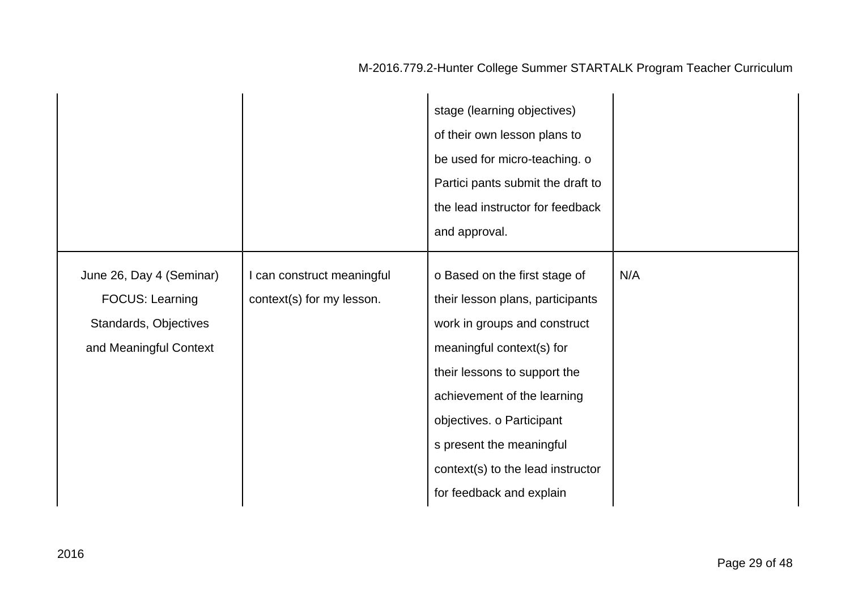|                                                                                                       |                                                         | stage (learning objectives)<br>of their own lesson plans to<br>be used for micro-teaching. o<br>Partici pants submit the draft to<br>the lead instructor for feedback<br>and approval.                                                                                                                                  |     |
|-------------------------------------------------------------------------------------------------------|---------------------------------------------------------|-------------------------------------------------------------------------------------------------------------------------------------------------------------------------------------------------------------------------------------------------------------------------------------------------------------------------|-----|
| June 26, Day 4 (Seminar)<br><b>FOCUS: Learning</b><br>Standards, Objectives<br>and Meaningful Context | I can construct meaningful<br>context(s) for my lesson. | o Based on the first stage of<br>their lesson plans, participants<br>work in groups and construct<br>meaningful context(s) for<br>their lessons to support the<br>achievement of the learning<br>objectives. o Participant<br>s present the meaningful<br>context(s) to the lead instructor<br>for feedback and explain | N/A |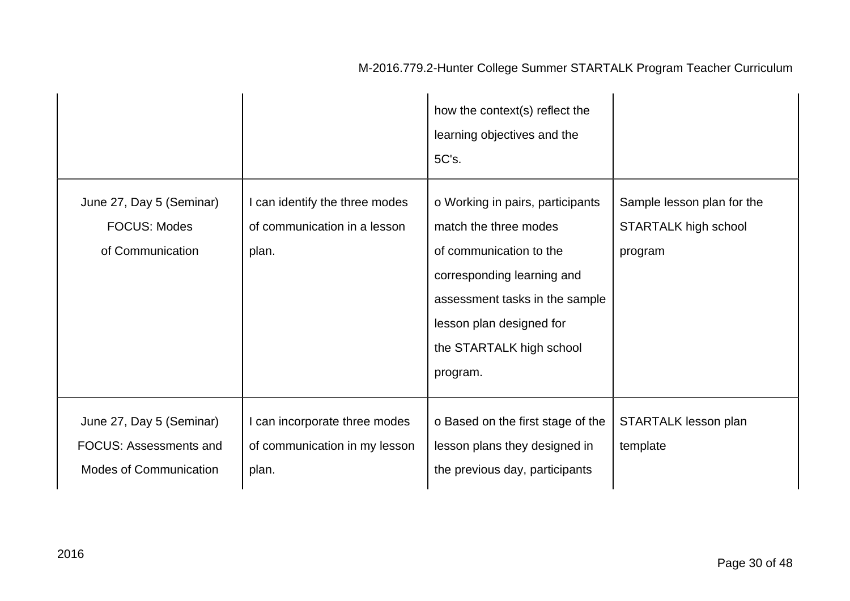|                                                                                            |                                                                         | how the context(s) reflect the<br>learning objectives and the<br>5C's.                                                                                                                                                   |                                                               |
|--------------------------------------------------------------------------------------------|-------------------------------------------------------------------------|--------------------------------------------------------------------------------------------------------------------------------------------------------------------------------------------------------------------------|---------------------------------------------------------------|
| June 27, Day 5 (Seminar)<br><b>FOCUS: Modes</b><br>of Communication                        | I can identify the three modes<br>of communication in a lesson<br>plan. | o Working in pairs, participants<br>match the three modes<br>of communication to the<br>corresponding learning and<br>assessment tasks in the sample<br>lesson plan designed for<br>the STARTALK high school<br>program. | Sample lesson plan for the<br>STARTALK high school<br>program |
| June 27, Day 5 (Seminar)<br><b>FOCUS: Assessments and</b><br><b>Modes of Communication</b> | I can incorporate three modes<br>of communication in my lesson<br>plan. | o Based on the first stage of the<br>lesson plans they designed in<br>the previous day, participants                                                                                                                     | STARTALK lesson plan<br>template                              |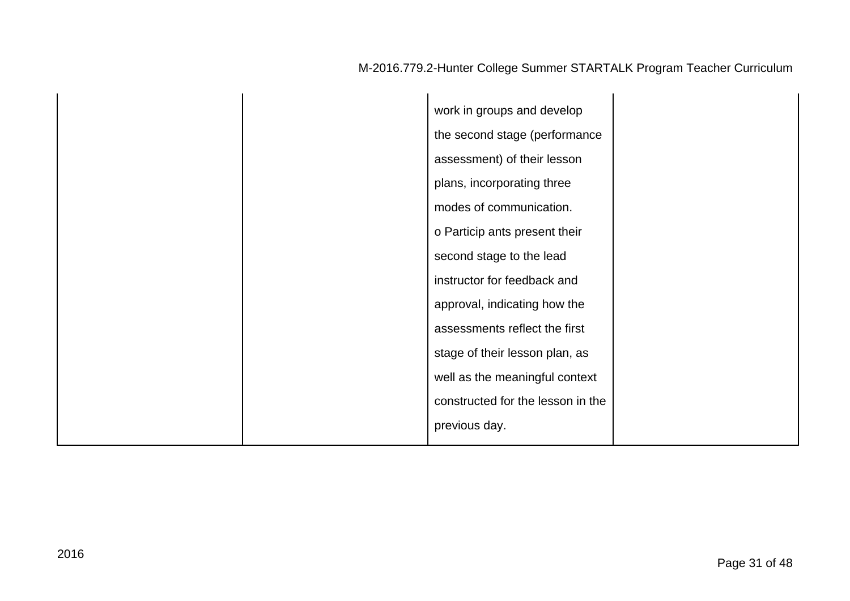|  | work in groups and develop        |  |
|--|-----------------------------------|--|
|  | the second stage (performance     |  |
|  | assessment) of their lesson       |  |
|  | plans, incorporating three        |  |
|  | modes of communication.           |  |
|  | o Particip ants present their     |  |
|  | second stage to the lead          |  |
|  | instructor for feedback and       |  |
|  | approval, indicating how the      |  |
|  | assessments reflect the first     |  |
|  | stage of their lesson plan, as    |  |
|  | well as the meaningful context    |  |
|  | constructed for the lesson in the |  |
|  | previous day.                     |  |
|  |                                   |  |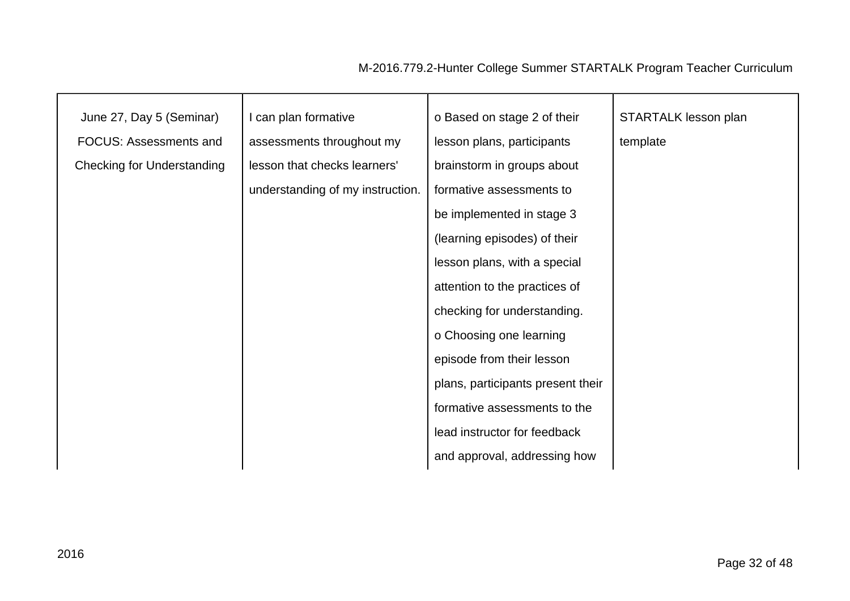| June 27, Day 5 (Seminar)          | I can plan formative             | o Based on stage 2 of their       | STARTALK lesson plan |
|-----------------------------------|----------------------------------|-----------------------------------|----------------------|
| <b>FOCUS: Assessments and</b>     | assessments throughout my        | lesson plans, participants        | template             |
| <b>Checking for Understanding</b> | lesson that checks learners'     | brainstorm in groups about        |                      |
|                                   | understanding of my instruction. | formative assessments to          |                      |
|                                   |                                  | be implemented in stage 3         |                      |
|                                   |                                  | (learning episodes) of their      |                      |
|                                   |                                  | lesson plans, with a special      |                      |
|                                   |                                  | attention to the practices of     |                      |
|                                   |                                  | checking for understanding.       |                      |
|                                   |                                  | o Choosing one learning           |                      |
|                                   |                                  | episode from their lesson         |                      |
|                                   |                                  | plans, participants present their |                      |
|                                   |                                  | formative assessments to the      |                      |
|                                   |                                  | lead instructor for feedback      |                      |
|                                   |                                  | and approval, addressing how      |                      |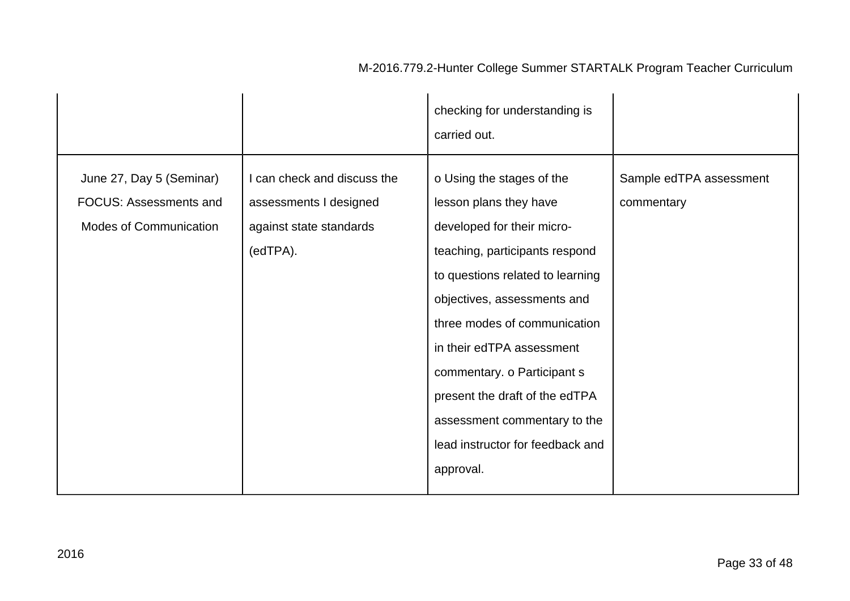|                                                                                            |                                                                                              | checking for understanding is<br>carried out.                                                                                                                                                                                                                                                                                                                                                         |                                       |
|--------------------------------------------------------------------------------------------|----------------------------------------------------------------------------------------------|-------------------------------------------------------------------------------------------------------------------------------------------------------------------------------------------------------------------------------------------------------------------------------------------------------------------------------------------------------------------------------------------------------|---------------------------------------|
| June 27, Day 5 (Seminar)<br><b>FOCUS: Assessments and</b><br><b>Modes of Communication</b> | I can check and discuss the<br>assessments I designed<br>against state standards<br>(edTPA). | o Using the stages of the<br>lesson plans they have<br>developed for their micro-<br>teaching, participants respond<br>to questions related to learning<br>objectives, assessments and<br>three modes of communication<br>in their edTPA assessment<br>commentary. o Participant s<br>present the draft of the edTPA<br>assessment commentary to the<br>lead instructor for feedback and<br>approval. | Sample edTPA assessment<br>commentary |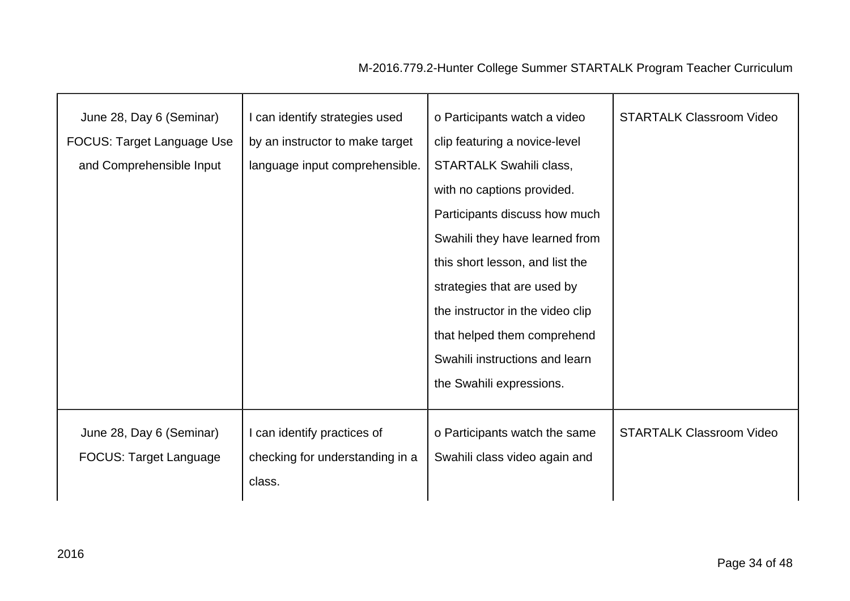| June 28, Day 6 (Seminar)      | I can identify strategies used  | o Participants watch a video     | <b>STARTALK Classroom Video</b> |
|-------------------------------|---------------------------------|----------------------------------|---------------------------------|
|                               |                                 |                                  |                                 |
| FOCUS: Target Language Use    | by an instructor to make target | clip featuring a novice-level    |                                 |
| and Comprehensible Input      | language input comprehensible.  | <b>STARTALK Swahili class,</b>   |                                 |
|                               |                                 | with no captions provided.       |                                 |
|                               |                                 | Participants discuss how much    |                                 |
|                               |                                 | Swahili they have learned from   |                                 |
|                               |                                 | this short lesson, and list the  |                                 |
|                               |                                 | strategies that are used by      |                                 |
|                               |                                 | the instructor in the video clip |                                 |
|                               |                                 | that helped them comprehend      |                                 |
|                               |                                 | Swahili instructions and learn   |                                 |
|                               |                                 | the Swahili expressions.         |                                 |
|                               |                                 |                                  |                                 |
| June 28, Day 6 (Seminar)      | I can identify practices of     | o Participants watch the same    | <b>STARTALK Classroom Video</b> |
| <b>FOCUS: Target Language</b> | checking for understanding in a | Swahili class video again and    |                                 |
|                               | class.                          |                                  |                                 |
|                               |                                 |                                  |                                 |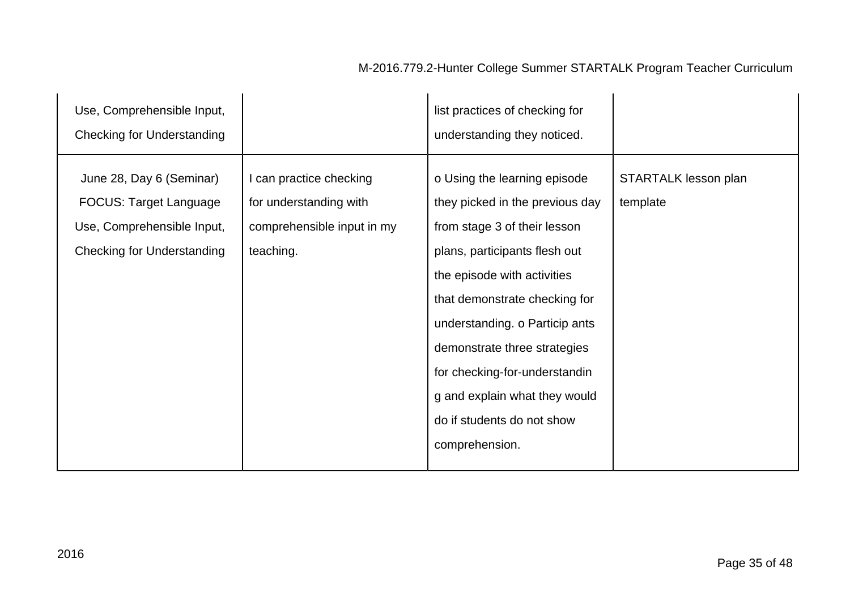#### Use, Comprehensible Input, Checking for Understanding list practices of checking for understanding they noticed. June 28, Day 6 (Seminar) FOCUS: Target Language Use, Comprehensible Input, Checking for Understanding I can practice checking for understanding with comprehensible input in my teaching. o Using the learning episode they picked in the previous day from stage 3 of their lesson plans, participants flesh out the episode with activities that demonstrate checking for understanding. o Particip ants demonstrate three strategies for checking-for-understandin g and explain what they would do if students do not show comprehension. STARTALK lesson plan template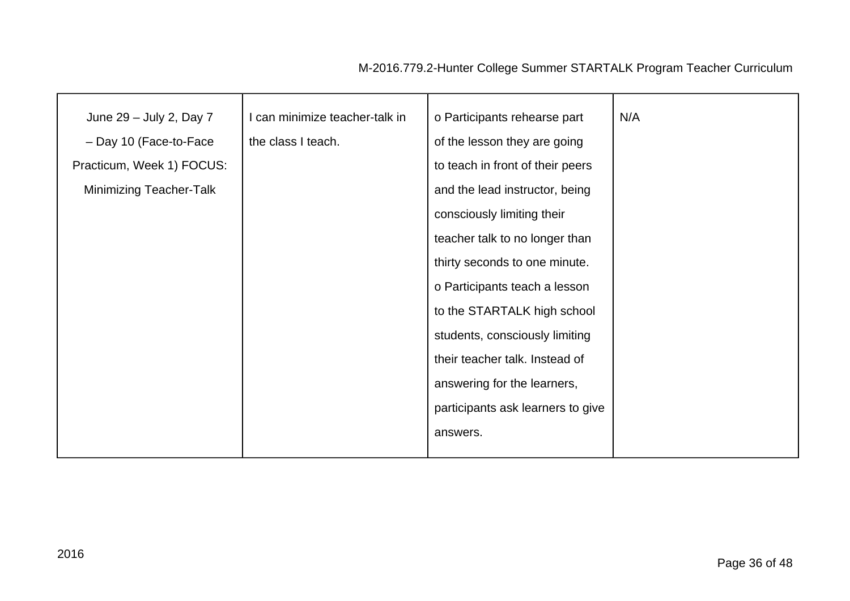| June 29 - July 2, Day 7        | I can minimize teacher-talk in | o Participants rehearse part      | N/A |
|--------------------------------|--------------------------------|-----------------------------------|-----|
|                                |                                |                                   |     |
| - Day 10 (Face-to-Face         | the class I teach.             | of the lesson they are going      |     |
| Practicum, Week 1) FOCUS:      |                                | to teach in front of their peers  |     |
| <b>Minimizing Teacher-Talk</b> |                                | and the lead instructor, being    |     |
|                                |                                | consciously limiting their        |     |
|                                |                                | teacher talk to no longer than    |     |
|                                |                                | thirty seconds to one minute.     |     |
|                                |                                | o Participants teach a lesson     |     |
|                                |                                | to the STARTALK high school       |     |
|                                |                                | students, consciously limiting    |     |
|                                |                                | their teacher talk. Instead of    |     |
|                                |                                | answering for the learners,       |     |
|                                |                                | participants ask learners to give |     |
|                                |                                | answers.                          |     |
|                                |                                |                                   |     |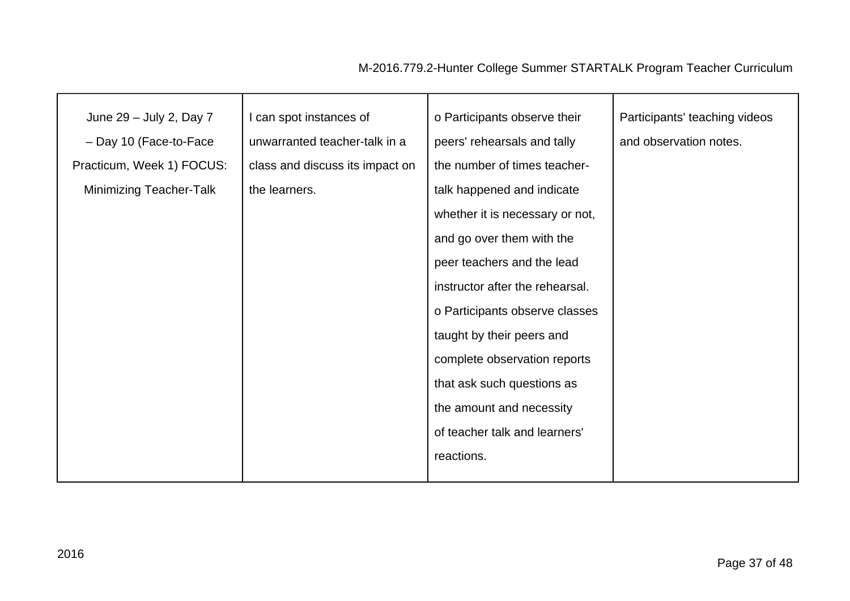| June 29 - July 2, Day 7        | I can spot instances of         | o Participants observe their    | Participants' teaching videos |
|--------------------------------|---------------------------------|---------------------------------|-------------------------------|
| - Day 10 (Face-to-Face         | unwarranted teacher-talk in a   | peers' rehearsals and tally     | and observation notes.        |
| Practicum, Week 1) FOCUS:      | class and discuss its impact on | the number of times teacher-    |                               |
| <b>Minimizing Teacher-Talk</b> | the learners.                   | talk happened and indicate      |                               |
|                                |                                 | whether it is necessary or not, |                               |
|                                |                                 | and go over them with the       |                               |
|                                |                                 | peer teachers and the lead      |                               |
|                                |                                 | instructor after the rehearsal. |                               |
|                                |                                 | o Participants observe classes  |                               |
|                                |                                 | taught by their peers and       |                               |
|                                |                                 | complete observation reports    |                               |
|                                |                                 | that ask such questions as      |                               |
|                                |                                 | the amount and necessity        |                               |
|                                |                                 | of teacher talk and learners'   |                               |
|                                |                                 | reactions.                      |                               |
|                                |                                 |                                 |                               |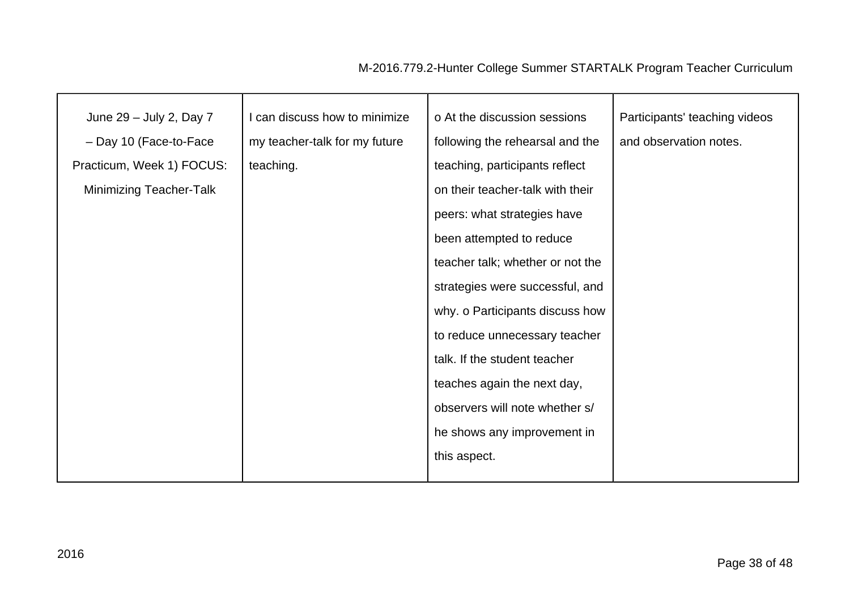| June 29 - July 2, Day 7        | I can discuss how to minimize | o At the discussion sessions     | Participants' teaching videos |
|--------------------------------|-------------------------------|----------------------------------|-------------------------------|
| - Day 10 (Face-to-Face         | my teacher-talk for my future | following the rehearsal and the  | and observation notes.        |
| Practicum, Week 1) FOCUS:      | teaching.                     | teaching, participants reflect   |                               |
| <b>Minimizing Teacher-Talk</b> |                               | on their teacher-talk with their |                               |
|                                |                               | peers: what strategies have      |                               |
|                                |                               | been attempted to reduce         |                               |
|                                |                               | teacher talk; whether or not the |                               |
|                                |                               | strategies were successful, and  |                               |
|                                |                               | why. o Participants discuss how  |                               |
|                                |                               | to reduce unnecessary teacher    |                               |
|                                |                               | talk. If the student teacher     |                               |
|                                |                               | teaches again the next day,      |                               |
|                                |                               | observers will note whether s/   |                               |
|                                |                               | he shows any improvement in      |                               |
|                                |                               | this aspect.                     |                               |
|                                |                               |                                  |                               |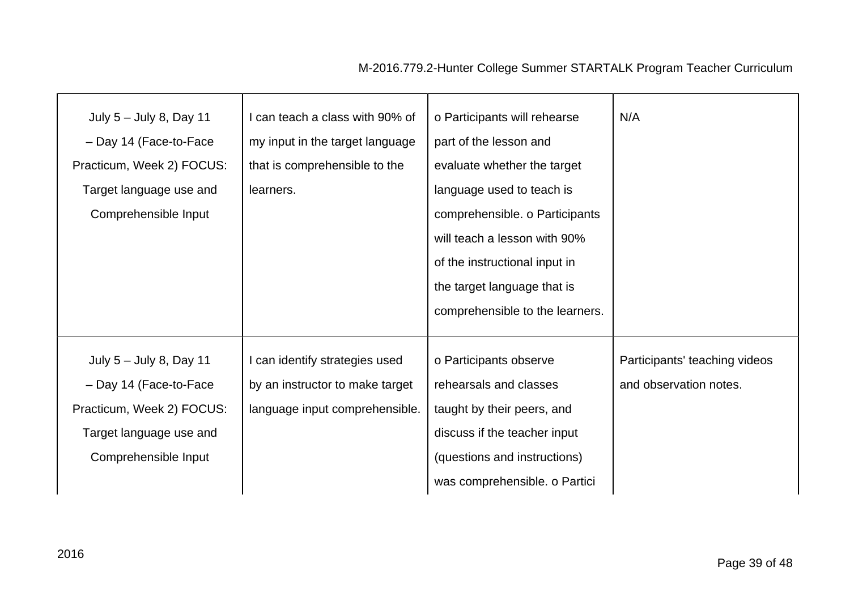| July $5 -$ July 8, Day 11 | I can teach a class with 90% of | o Participants will rehearse    | N/A                           |
|---------------------------|---------------------------------|---------------------------------|-------------------------------|
| - Day 14 (Face-to-Face    | my input in the target language | part of the lesson and          |                               |
| Practicum, Week 2) FOCUS: | that is comprehensible to the   | evaluate whether the target     |                               |
| Target language use and   | learners.                       | language used to teach is       |                               |
| Comprehensible Input      |                                 | comprehensible. o Participants  |                               |
|                           |                                 | will teach a lesson with 90%    |                               |
|                           |                                 | of the instructional input in   |                               |
|                           |                                 | the target language that is     |                               |
|                           |                                 | comprehensible to the learners. |                               |
|                           |                                 |                                 |                               |
| July $5 -$ July 8, Day 11 | I can identify strategies used  | o Participants observe          | Participants' teaching videos |
| - Day 14 (Face-to-Face    | by an instructor to make target | rehearsals and classes          | and observation notes.        |
| Practicum, Week 2) FOCUS: | language input comprehensible.  | taught by their peers, and      |                               |
| Target language use and   |                                 | discuss if the teacher input    |                               |
| Comprehensible Input      |                                 | (questions and instructions)    |                               |
|                           |                                 |                                 |                               |
|                           |                                 | was comprehensible. o Partici   |                               |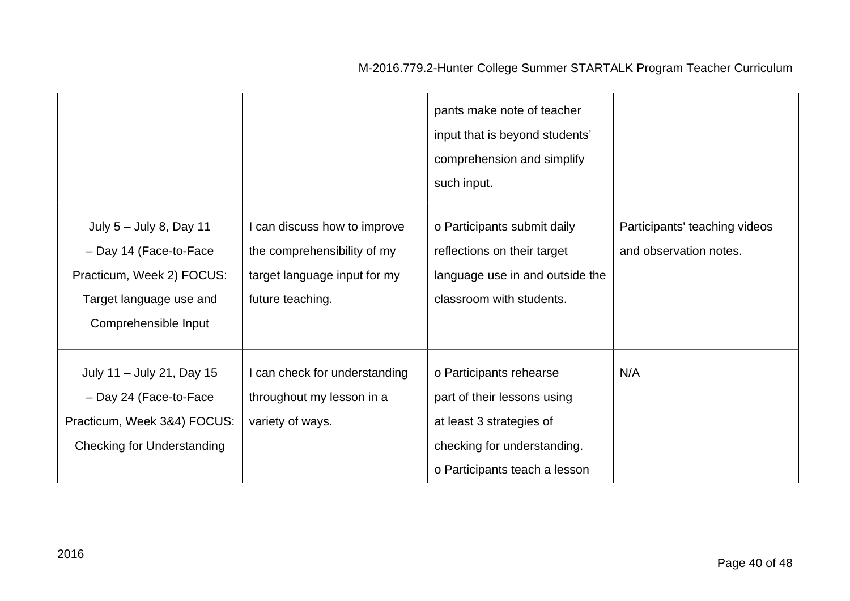|                                                                                                                                     |                                                                                                                 | pants make note of teacher<br>input that is beyond students'<br>comprehension and simplify<br>such input.                                          |                                                         |
|-------------------------------------------------------------------------------------------------------------------------------------|-----------------------------------------------------------------------------------------------------------------|----------------------------------------------------------------------------------------------------------------------------------------------------|---------------------------------------------------------|
| July $5 -$ July 8, Day 11<br>- Day 14 (Face-to-Face<br>Practicum, Week 2) FOCUS:<br>Target language use and<br>Comprehensible Input | I can discuss how to improve<br>the comprehensibility of my<br>target language input for my<br>future teaching. | o Participants submit daily<br>reflections on their target<br>language use in and outside the<br>classroom with students.                          | Participants' teaching videos<br>and observation notes. |
| July 11 - July 21, Day 15<br>- Day 24 (Face-to-Face<br>Practicum, Week 3&4) FOCUS:<br><b>Checking for Understanding</b>             | I can check for understanding<br>throughout my lesson in a<br>variety of ways.                                  | o Participants rehearse<br>part of their lessons using<br>at least 3 strategies of<br>checking for understanding.<br>o Participants teach a lesson | N/A                                                     |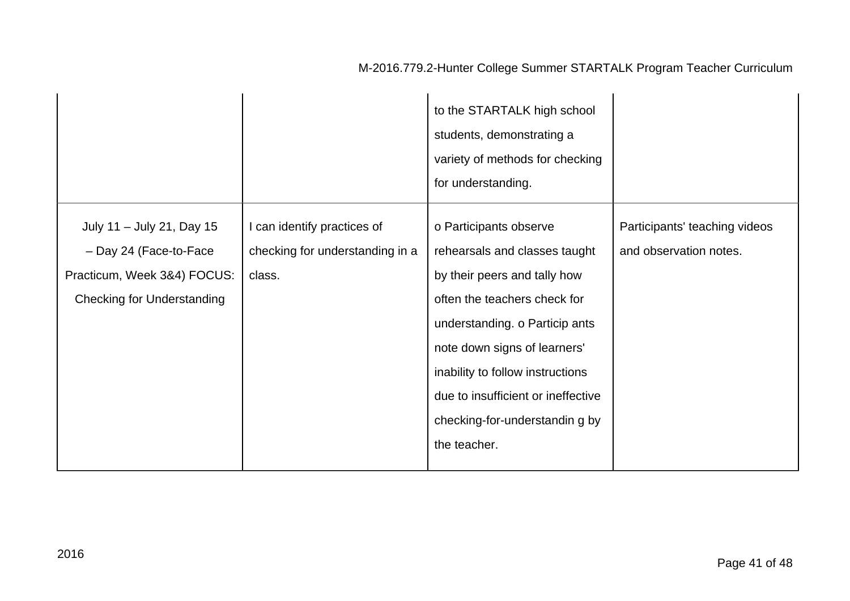|                                                                                                                         |                                                                          | to the STARTALK high school<br>students, demonstrating a<br>variety of methods for checking<br>for understanding.                                                                                                                                                                                                     |                                                         |
|-------------------------------------------------------------------------------------------------------------------------|--------------------------------------------------------------------------|-----------------------------------------------------------------------------------------------------------------------------------------------------------------------------------------------------------------------------------------------------------------------------------------------------------------------|---------------------------------------------------------|
| July 11 - July 21, Day 15<br>- Day 24 (Face-to-Face<br>Practicum, Week 3&4) FOCUS:<br><b>Checking for Understanding</b> | I can identify practices of<br>checking for understanding in a<br>class. | o Participants observe<br>rehearsals and classes taught<br>by their peers and tally how<br>often the teachers check for<br>understanding. o Particip ants<br>note down signs of learners'<br>inability to follow instructions<br>due to insufficient or ineffective<br>checking-for-understandin g by<br>the teacher. | Participants' teaching videos<br>and observation notes. |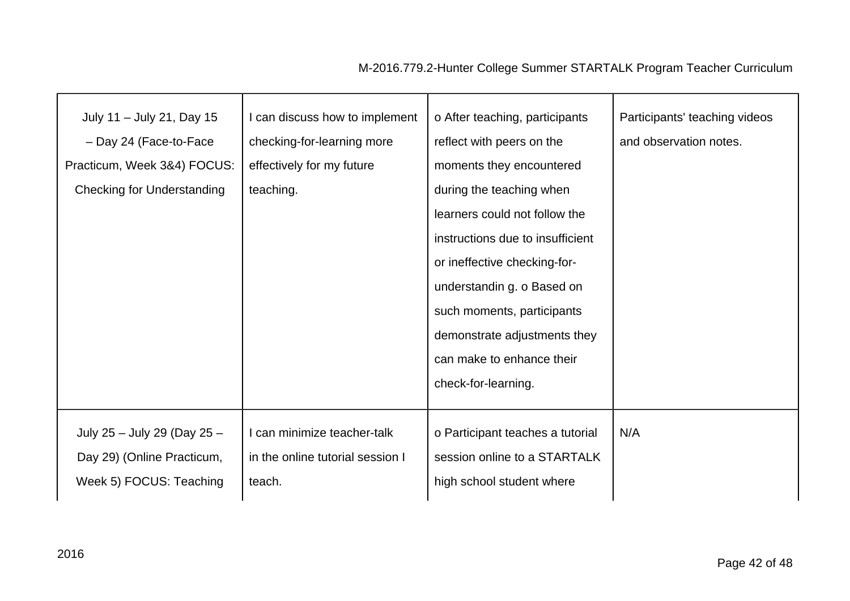| July 11 - July 21, Day 15         | I can discuss how to implement   | o After teaching, participants   | Participants' teaching videos |
|-----------------------------------|----------------------------------|----------------------------------|-------------------------------|
| - Day 24 (Face-to-Face            | checking-for-learning more       | reflect with peers on the        | and observation notes.        |
| Practicum, Week 3&4) FOCUS:       | effectively for my future        | moments they encountered         |                               |
| <b>Checking for Understanding</b> | teaching.                        | during the teaching when         |                               |
|                                   |                                  | learners could not follow the    |                               |
|                                   |                                  | instructions due to insufficient |                               |
|                                   |                                  | or ineffective checking-for-     |                               |
|                                   |                                  | understandin g. o Based on       |                               |
|                                   |                                  | such moments, participants       |                               |
|                                   |                                  |                                  |                               |
|                                   |                                  | demonstrate adjustments they     |                               |
|                                   |                                  | can make to enhance their        |                               |
|                                   |                                  | check-for-learning.              |                               |
|                                   |                                  |                                  |                               |
| July 25 - July 29 (Day 25 -       | I can minimize teacher-talk      | o Participant teaches a tutorial | N/A                           |
| Day 29) (Online Practicum,        | in the online tutorial session I | session online to a STARTALK     |                               |
| Week 5) FOCUS: Teaching           | teach.                           | high school student where        |                               |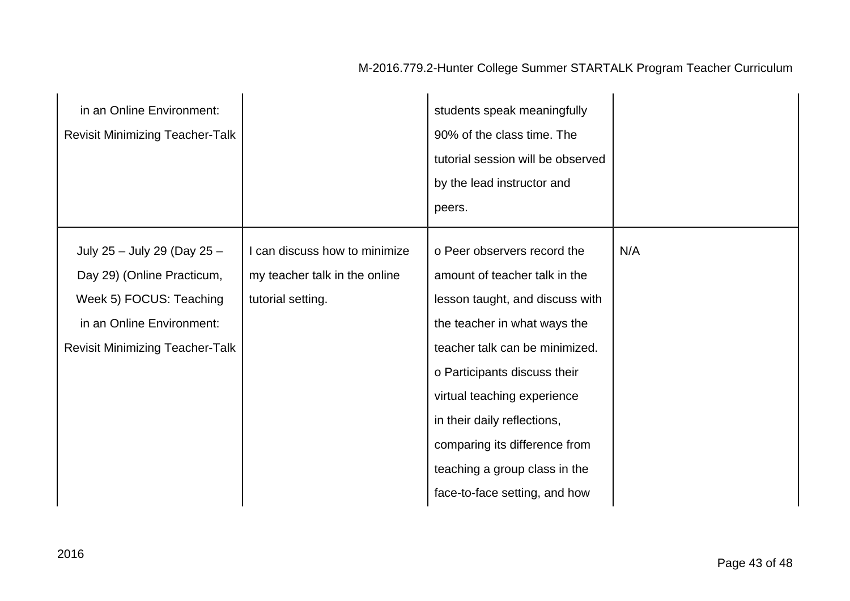| in an Online Environment:<br><b>Revisit Minimizing Teacher-Talk</b>                                                                                         |                                                                                     | students speak meaningfully<br>90% of the class time. The<br>tutorial session will be observed<br>by the lead instructor and<br>peers.                                                                                                                                                                                                                             |     |
|-------------------------------------------------------------------------------------------------------------------------------------------------------------|-------------------------------------------------------------------------------------|--------------------------------------------------------------------------------------------------------------------------------------------------------------------------------------------------------------------------------------------------------------------------------------------------------------------------------------------------------------------|-----|
| July 25 - July 29 (Day 25 -<br>Day 29) (Online Practicum,<br>Week 5) FOCUS: Teaching<br>in an Online Environment:<br><b>Revisit Minimizing Teacher-Talk</b> | I can discuss how to minimize<br>my teacher talk in the online<br>tutorial setting. | o Peer observers record the<br>amount of teacher talk in the<br>lesson taught, and discuss with<br>the teacher in what ways the<br>teacher talk can be minimized.<br>o Participants discuss their<br>virtual teaching experience<br>in their daily reflections,<br>comparing its difference from<br>teaching a group class in the<br>face-to-face setting, and how | N/A |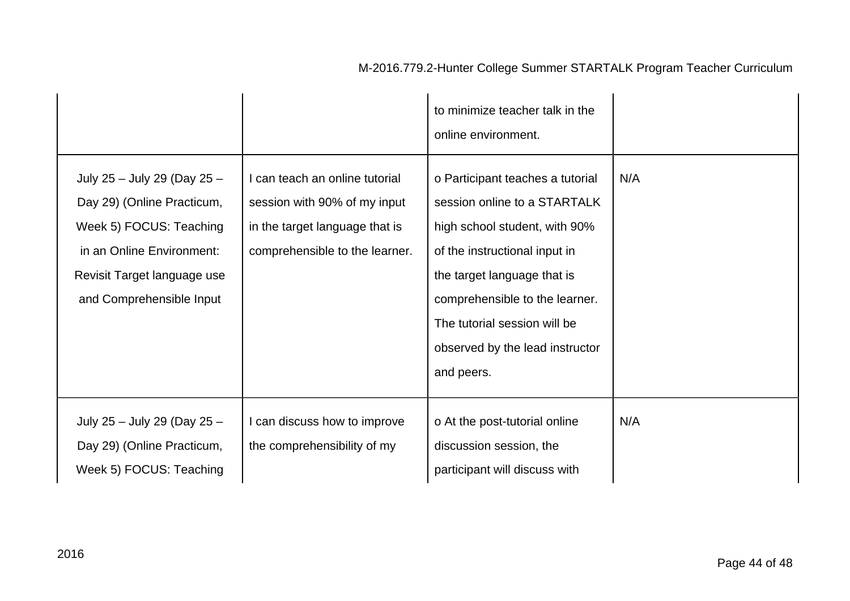|                                                                                                                                                                              |                                                                                                                                  | to minimize teacher talk in the<br>online environment.                                                                                                                                                                                                                               |     |
|------------------------------------------------------------------------------------------------------------------------------------------------------------------------------|----------------------------------------------------------------------------------------------------------------------------------|--------------------------------------------------------------------------------------------------------------------------------------------------------------------------------------------------------------------------------------------------------------------------------------|-----|
| July 25 - July 29 (Day 25 -<br>Day 29) (Online Practicum,<br>Week 5) FOCUS: Teaching<br>in an Online Environment:<br>Revisit Target language use<br>and Comprehensible Input | can teach an online tutorial<br>session with 90% of my input<br>in the target language that is<br>comprehensible to the learner. | o Participant teaches a tutorial<br>session online to a STARTALK<br>high school student, with 90%<br>of the instructional input in<br>the target language that is<br>comprehensible to the learner.<br>The tutorial session will be<br>observed by the lead instructor<br>and peers. | N/A |
| July 25 - July 29 (Day 25 -<br>Day 29) (Online Practicum,<br>Week 5) FOCUS: Teaching                                                                                         | can discuss how to improve<br>the comprehensibility of my                                                                        | o At the post-tutorial online<br>discussion session, the<br>participant will discuss with                                                                                                                                                                                            | N/A |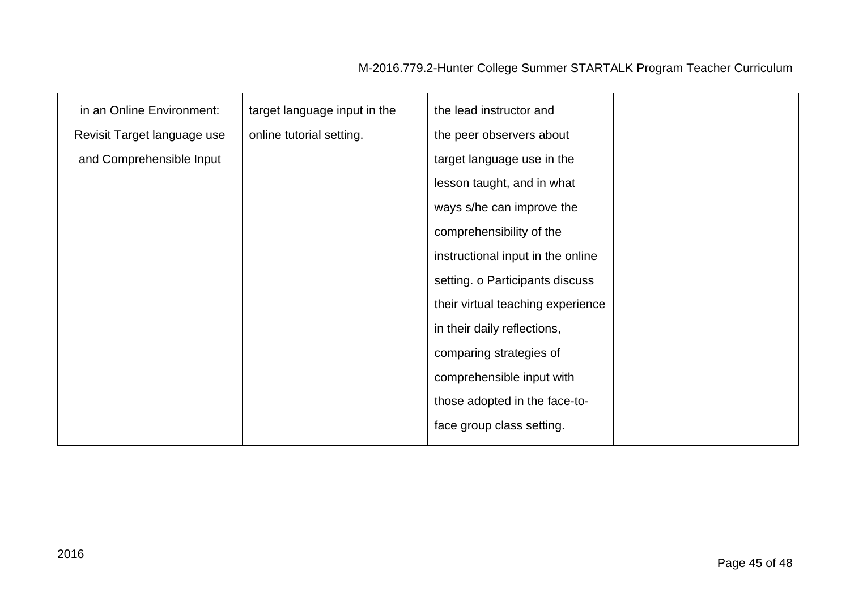| in an Online Environment:   | target language input in the | the lead instructor and           |  |
|-----------------------------|------------------------------|-----------------------------------|--|
| Revisit Target language use | online tutorial setting.     | the peer observers about          |  |
| and Comprehensible Input    |                              | target language use in the        |  |
|                             |                              | lesson taught, and in what        |  |
|                             |                              | ways s/he can improve the         |  |
|                             |                              | comprehensibility of the          |  |
|                             |                              | instructional input in the online |  |
|                             |                              | setting. o Participants discuss   |  |
|                             |                              | their virtual teaching experience |  |
|                             |                              | in their daily reflections,       |  |
|                             |                              | comparing strategies of           |  |
|                             |                              | comprehensible input with         |  |
|                             |                              | those adopted in the face-to-     |  |
|                             |                              | face group class setting.         |  |
|                             |                              |                                   |  |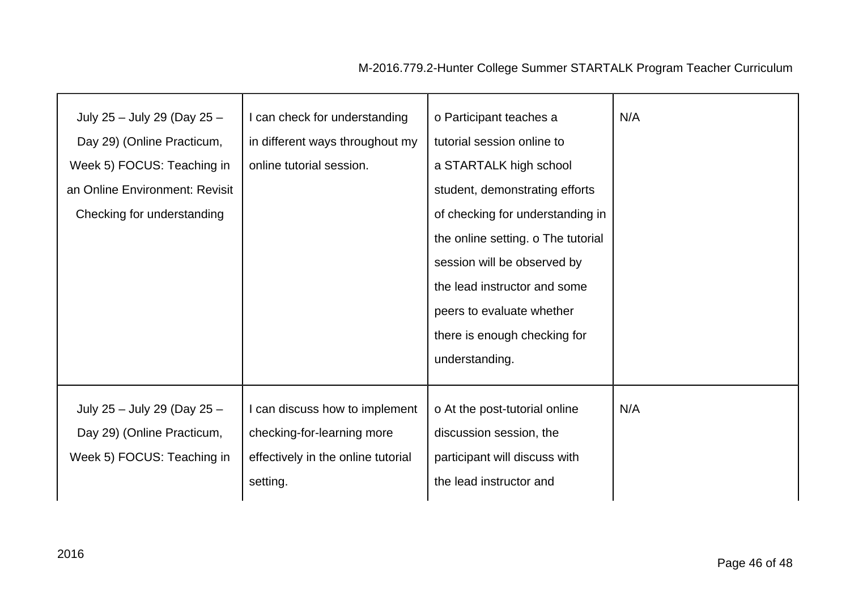| July 25 - July 29 (Day 25 -<br>Day 29) (Online Practicum,<br>Week 5) FOCUS: Teaching in<br>an Online Environment: Revisit<br>Checking for understanding | I can check for understanding<br>in different ways throughout my<br>online tutorial session. | o Participant teaches a<br>tutorial session online to<br>a STARTALK high school<br>student, demonstrating efforts<br>of checking for understanding in | N/A |
|---------------------------------------------------------------------------------------------------------------------------------------------------------|----------------------------------------------------------------------------------------------|-------------------------------------------------------------------------------------------------------------------------------------------------------|-----|
|                                                                                                                                                         |                                                                                              | the online setting. o The tutorial<br>session will be observed by                                                                                     |     |
|                                                                                                                                                         |                                                                                              | the lead instructor and some                                                                                                                          |     |
|                                                                                                                                                         |                                                                                              | peers to evaluate whether                                                                                                                             |     |
|                                                                                                                                                         |                                                                                              | there is enough checking for                                                                                                                          |     |
|                                                                                                                                                         |                                                                                              | understanding.                                                                                                                                        |     |
| July 25 - July 29 (Day 25 -                                                                                                                             | can discuss how to implement                                                                 | o At the post-tutorial online                                                                                                                         | N/A |
| Day 29) (Online Practicum,                                                                                                                              | checking-for-learning more                                                                   | discussion session, the                                                                                                                               |     |
| Week 5) FOCUS: Teaching in                                                                                                                              | effectively in the online tutorial                                                           | participant will discuss with                                                                                                                         |     |
|                                                                                                                                                         | setting.                                                                                     | the lead instructor and                                                                                                                               |     |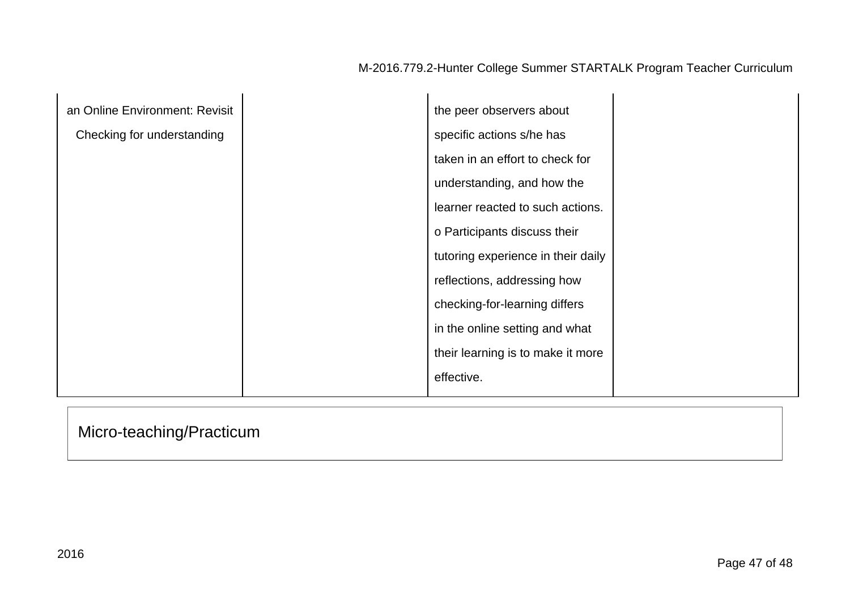| an Online Environment: Revisit | the peer observers about           |  |
|--------------------------------|------------------------------------|--|
| Checking for understanding     | specific actions s/he has          |  |
|                                | taken in an effort to check for    |  |
|                                | understanding, and how the         |  |
|                                | learner reacted to such actions.   |  |
|                                | o Participants discuss their       |  |
|                                | tutoring experience in their daily |  |
|                                | reflections, addressing how        |  |
|                                | checking-for-learning differs      |  |
|                                | in the online setting and what     |  |
|                                | their learning is to make it more  |  |
|                                | effective.                         |  |

# Micro-teaching/Practicum